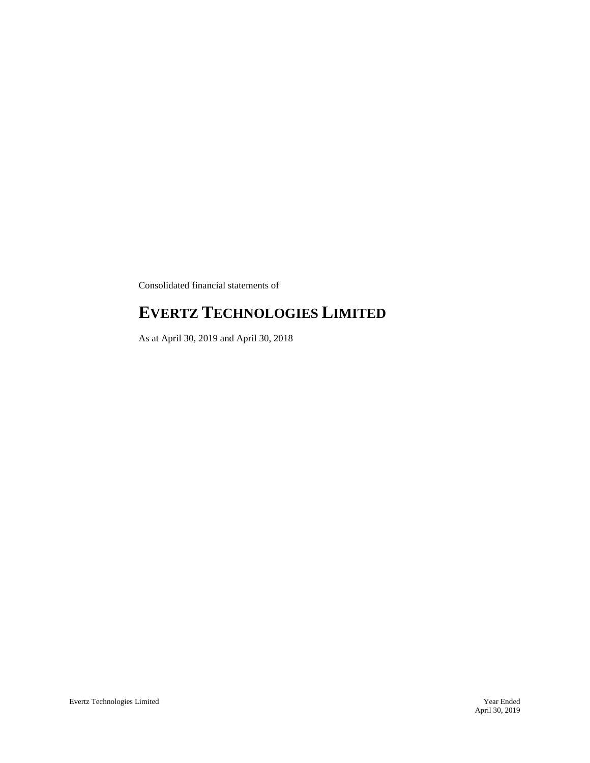Consolidated financial statements of

# **EVERTZ TECHNOLOGIES LIMITED**

As at April 30, 2019 and April 30, 2018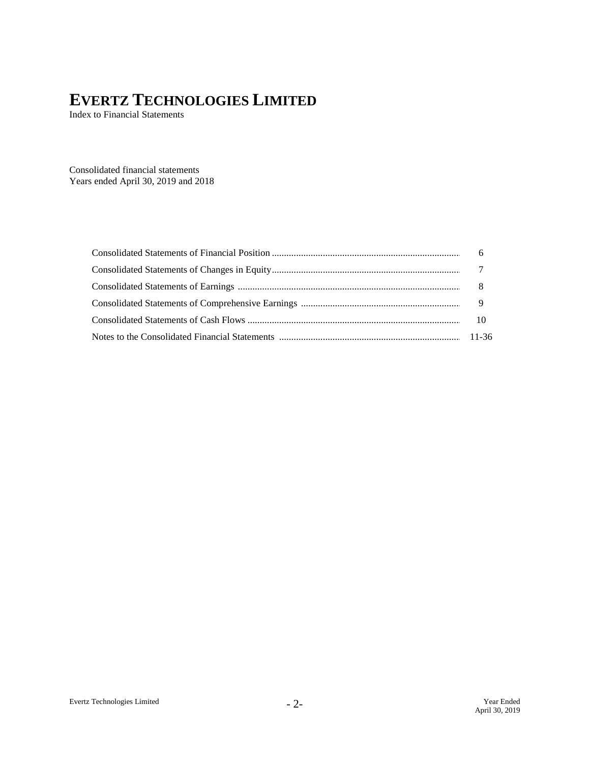Index to Financial Statements

Consolidated financial statements Years ended April 30, 2019 and 2018

| - 10 |
|------|
|      |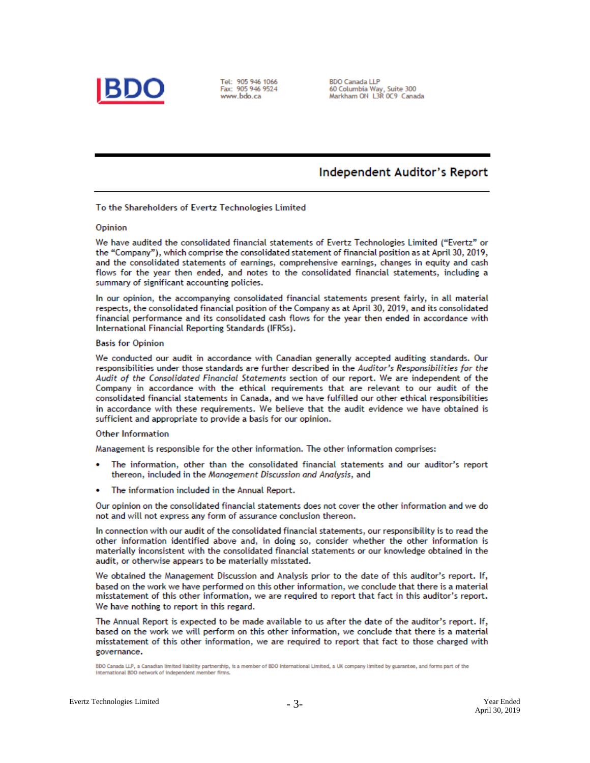

Tel: 905 946 1066 Fax: 905 946 9524 www.bdo.ca

**BDO Canada LLP** 60 Columbia Way, Suite 300<br>Markham ON L3R 0C9 Canada

# Independent Auditor's Report

#### To the Shareholders of Evertz Technologies Limited

#### Opinion

We have audited the consolidated financial statements of Evertz Technologies Limited ("Evertz" or the "Company"), which comprise the consolidated statement of financial position as at April 30, 2019, and the consolidated statements of earnings, comprehensive earnings, changes in equity and cash flows for the year then ended, and notes to the consolidated financial statements, including a summary of significant accounting policies.

In our opinion, the accompanying consolidated financial statements present fairly, in all material respects, the consolidated financial position of the Company as at April 30, 2019, and its consolidated financial performance and its consolidated cash flows for the year then ended in accordance with International Financial Reporting Standards (IFRSs).

#### **Basis for Opinion**

We conducted our audit in accordance with Canadian generally accepted auditing standards. Our responsibilities under those standards are further described in the Auditor's Responsibilities for the Audit of the Consolidated Financial Statements section of our report. We are independent of the Company in accordance with the ethical requirements that are relevant to our audit of the consolidated financial statements in Canada, and we have fulfilled our other ethical responsibilities in accordance with these requirements. We believe that the audit evidence we have obtained is sufficient and appropriate to provide a basis for our opinion.

#### Other Information

Management is responsible for the other information. The other information comprises:

- ٠ The information, other than the consolidated financial statements and our auditor's report thereon, included in the Management Discussion and Analysis, and
- The information included in the Annual Report.

Our opinion on the consolidated financial statements does not cover the other information and we do not and will not express any form of assurance conclusion thereon.

In connection with our audit of the consolidated financial statements, our responsibility is to read the other information identified above and, in doing so, consider whether the other information is materially inconsistent with the consolidated financial statements or our knowledge obtained in the audit, or otherwise appears to be materially misstated.

We obtained the Management Discussion and Analysis prior to the date of this auditor's report. If, based on the work we have performed on this other information, we conclude that there is a material misstatement of this other information, we are required to report that fact in this auditor's report. We have nothing to report in this regard.

The Annual Report is expected to be made available to us after the date of the auditor's report. If, based on the work we will perform on this other information, we conclude that there is a material misstatement of this other information, we are required to report that fact to those charged with governance.

BDO Canada LLP, a Canadian limited liability partnership, is a member of BDO International Limited, a UK company limited by guarantee, and forms part of the international BDO network of independent member firms.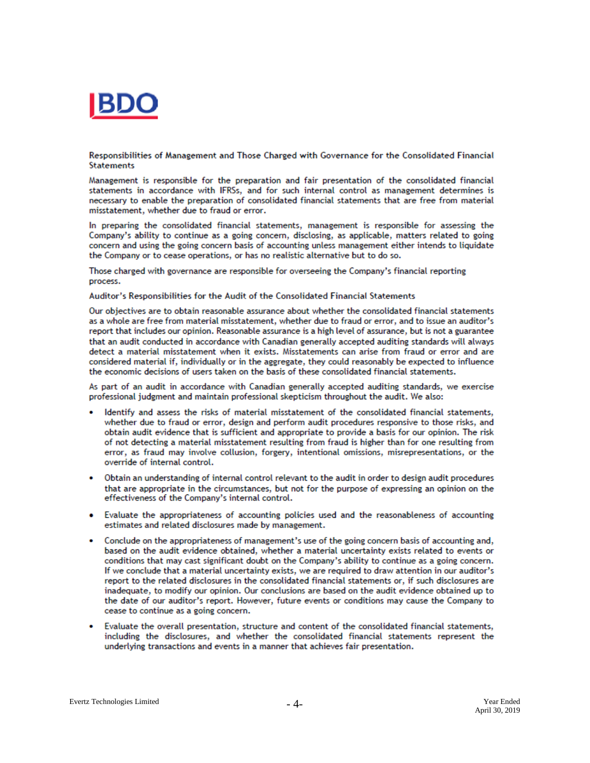

Responsibilities of Management and Those Charged with Governance for the Consolidated Financial **Statements** 

Management is responsible for the preparation and fair presentation of the consolidated financial statements in accordance with IFRSs, and for such internal control as management determines is necessary to enable the preparation of consolidated financial statements that are free from material misstatement, whether due to fraud or error.

In preparing the consolidated financial statements, management is responsible for assessing the Company's ability to continue as a going concern, disclosing, as applicable, matters related to going concern and using the going concern basis of accounting unless management either intends to liquidate the Company or to cease operations, or has no realistic alternative but to do so.

Those charged with governance are responsible for overseeing the Company's financial reporting process.

Auditor's Responsibilities for the Audit of the Consolidated Financial Statements

Our objectives are to obtain reasonable assurance about whether the consolidated financial statements as a whole are free from material misstatement, whether due to fraud or error, and to issue an auditor's report that includes our opinion. Reasonable assurance is a high level of assurance, but is not a guarantee that an audit conducted in accordance with Canadian generally accepted auditing standards will always detect a material misstatement when it exists. Misstatements can arise from fraud or error and are considered material if, individually or in the aggregate, they could reasonably be expected to influence the economic decisions of users taken on the basis of these consolidated financial statements.

As part of an audit in accordance with Canadian generally accepted auditing standards, we exercise professional judgment and maintain professional skepticism throughout the audit. We also:

- Identify and assess the risks of material misstatement of the consolidated financial statements, whether due to fraud or error, design and perform audit procedures responsive to those risks, and obtain audit evidence that is sufficient and appropriate to provide a basis for our opinion. The risk of not detecting a material misstatement resulting from fraud is higher than for one resulting from error, as fraud may involve collusion, forgery, intentional omissions, misrepresentations, or the override of internal control.
- Obtain an understanding of internal control relevant to the audit in order to design audit procedures that are appropriate in the circumstances, but not for the purpose of expressing an opinion on the effectiveness of the Company's internal control.
- Evaluate the appropriateness of accounting policies used and the reasonableness of accounting estimates and related disclosures made by management.
- Conclude on the appropriateness of management's use of the going concern basis of accounting and, based on the audit evidence obtained, whether a material uncertainty exists related to events or conditions that may cast significant doubt on the Company's ability to continue as a going concern. If we conclude that a material uncertainty exists, we are required to draw attention in our auditor's report to the related disclosures in the consolidated financial statements or, if such disclosures are inadequate, to modify our opinion. Our conclusions are based on the audit evidence obtained up to the date of our auditor's report. However, future events or conditions may cause the Company to cease to continue as a going concern.
- Evaluate the overall presentation, structure and content of the consolidated financial statements, including the disclosures, and whether the consolidated financial statements represent the underlying transactions and events in a manner that achieves fair presentation.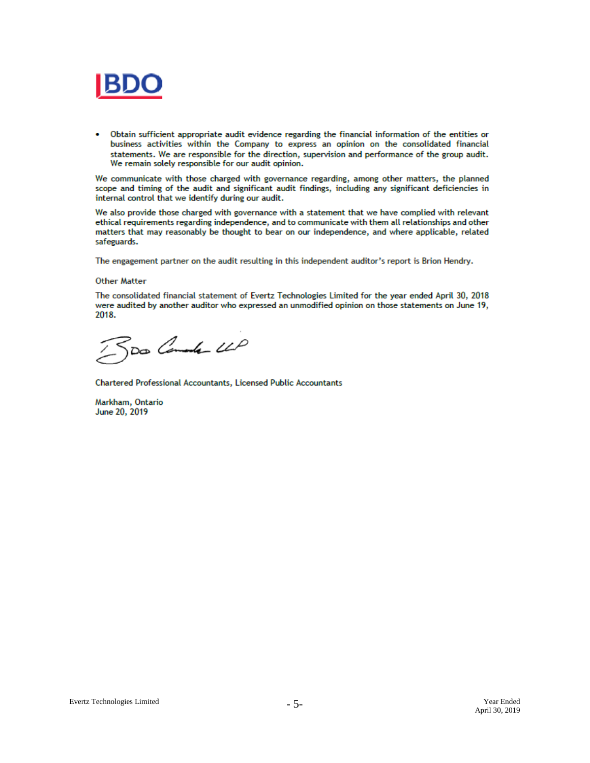

Obtain sufficient appropriate audit evidence regarding the financial information of the entities or  $\bullet$ business activities within the Company to express an opinion on the consolidated financial statements. We are responsible for the direction, supervision and performance of the group audit. We remain solely responsible for our audit opinion.

We communicate with those charged with governance regarding, among other matters, the planned scope and timing of the audit and significant audit findings, including any significant deficiencies in internal control that we identify during our audit.

We also provide those charged with governance with a statement that we have complied with relevant ethical requirements regarding independence, and to communicate with them all relationships and other matters that may reasonably be thought to bear on our independence, and where applicable, related safeguards.

The engagement partner on the audit resulting in this independent auditor's report is Brion Hendry.

#### **Other Matter**

The consolidated financial statement of Evertz Technologies Limited for the year ended April 30, 2018 were audited by another auditor who expressed an unmodified opinion on those statements on June 19, 2018.

Boo Comeda UP

Chartered Professional Accountants, Licensed Public Accountants

Markham, Ontario June 20, 2019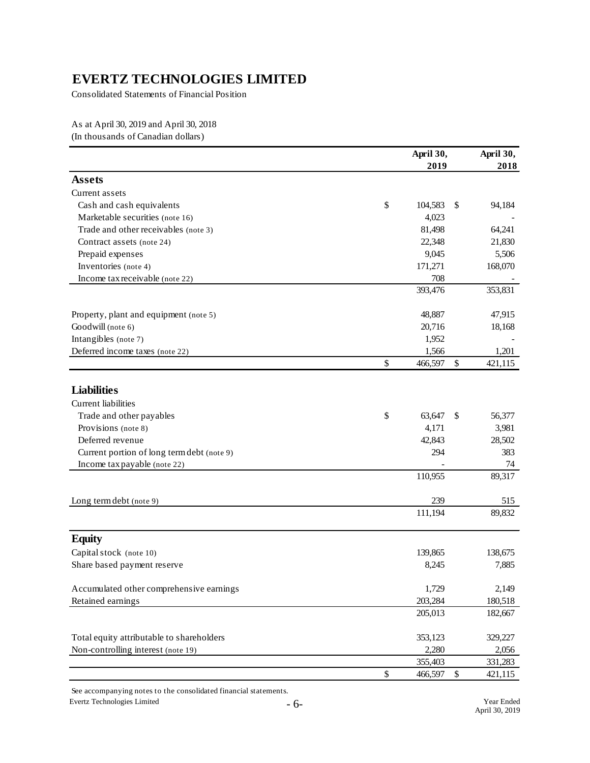Consolidated Statements of Financial Position

As at April 30, 2019 and April 30, 2018

(In thousands of Canadian dollars)

|                                            |      | April 30, |      |                   |
|--------------------------------------------|------|-----------|------|-------------------|
|                                            |      | 2019      |      | April 30,<br>2018 |
| <b>Assets</b>                              |      |           |      |                   |
| Current assets                             |      |           |      |                   |
| Cash and cash equivalents                  | \$   | 104,583   | \$   | 94,184            |
| Marketable securities (note 16)            |      | 4,023     |      |                   |
| Trade and other receivables (note 3)       |      | 81,498    |      | 64,241            |
| Contract assets (note 24)                  |      | 22,348    |      | 21,830            |
| Prepaid expenses                           |      | 9,045     |      | 5,506             |
| Inventories (note 4)                       |      | 171,271   |      | 168,070           |
| Income tax receivable (note 22)            |      | 708       |      |                   |
|                                            |      | 393,476   |      | 353,831           |
| Property, plant and equipment (note 5)     |      | 48,887    |      | 47,915            |
| Goodwill (note 6)                          |      | 20,716    |      | 18,168            |
| Intangibles (note 7)                       |      | 1,952     |      |                   |
| Deferred income taxes (note 22)            |      | 1,566     |      | 1,201             |
|                                            | \$   | 466,597   | \$   | 421, 115          |
|                                            |      |           |      |                   |
| <b>Liabilities</b>                         |      |           |      |                   |
| Current liabilities                        |      |           |      |                   |
| Trade and other payables                   | \$   | 63,647    | \$   | 56,377            |
| Provisions (note 8)                        |      | 4,171     |      | 3,981             |
| Deferred revenue                           |      | 42,843    |      | 28,502            |
| Current portion of long term debt (note 9) |      | 294       |      | 383               |
| Income tax payable (note 22)               |      |           |      | 74                |
|                                            |      | 110,955   |      | 89,317            |
| Long term debt (note 9)                    |      | 239       |      | 515               |
|                                            |      | 111,194   |      | 89,832            |
| <b>Equity</b>                              |      |           |      |                   |
| Capital stock (note 10)                    |      | 139,865   |      | 138,675           |
| Share based payment reserve                |      | 8,245     |      | 7,885             |
| Accumulated other comprehensive earnings   |      | 1,729     |      | 2,149             |
| Retained earnings                          |      | 203,284   |      | 180,518           |
|                                            |      | 205,013   |      | 182,667           |
| Total equity attributable to shareholders  |      | 353,123   |      | 329,227           |
| Non-controlling interest (note 19)         |      | 2,280     |      | 2,056             |
|                                            |      | 355,403   |      | 331,283           |
|                                            | $\$$ | 466,597   | $\$$ | 421,115           |

See accompanying notes to the consolidated financial statements.

Evertz Technologies Limited  $-6-$  Year Ended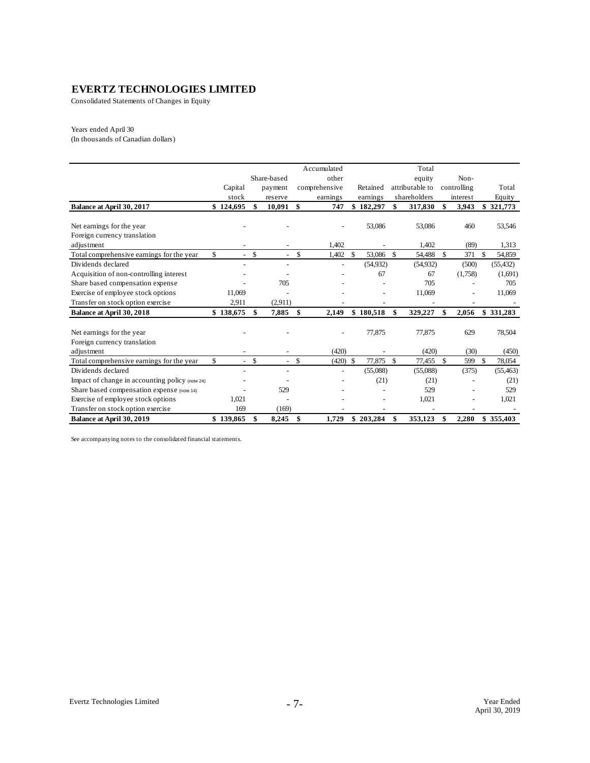Consolidated Statements of Changes in Equity

#### Years ended April 30

(In thousands of Canadian dollars)

|                                                 |           |                      |                          |                    | Accumulated   |    |           |      | Total           |             |         |       |           |
|-------------------------------------------------|-----------|----------------------|--------------------------|--------------------|---------------|----|-----------|------|-----------------|-------------|---------|-------|-----------|
|                                                 |           |                      | Share-based              |                    | other         |    |           |      | equity          |             | Non-    |       |           |
|                                                 | Capital   |                      | payment                  |                    | comprehensive |    | Retained  |      | attributable to | controlling |         | Total |           |
|                                                 | stock     |                      | reserve                  |                    | earnings      |    | earnings  |      | shareholders    | interest    |         |       | Equity    |
| Balance at April 30, 2017                       | \$124,695 | \$                   | 10,091                   | \$                 | 747           |    | \$182,297 | \$   | 317,830         | \$          | 3,943   |       | \$321,773 |
| Net earnings for the year                       |           |                      |                          |                    |               |    | 53,086    |      | 53,086          |             | 460     |       | 53,546    |
| Foreign currency translation                    |           |                      |                          |                    |               |    |           |      |                 |             |         |       |           |
| adjustment                                      |           |                      |                          |                    | 1,402         |    |           |      | 1,402           |             | (89)    |       | 1,313     |
| Total comprehensive earnings for the year       | \$        | \$<br>$\sim$         | $\sim$                   | \$                 | 1,402         | \$ | 53,086 \$ |      | 54,488          | \$          | 371     | \$    | 54,859    |
| Dividends declared                              |           |                      |                          |                    |               |    | (54, 932) |      | (54, 932)       |             | (500)   |       | (55, 432) |
| Acquisition of non-controlling interest         |           |                      |                          |                    |               |    | 67        |      | 67              |             | (1,758) |       | (1,691)   |
| Share based compensation expense                |           |                      | 705                      |                    |               |    |           |      | 705             |             |         |       | 705       |
| Exercise of employee stock options              | 11,069    |                      |                          |                    |               |    |           |      | 11,069          |             |         |       | 11,069    |
| Transfer on stock option exercise               | 2,911     |                      | (2,911)                  |                    |               |    |           |      |                 |             |         |       |           |
| Balance at April 30, 2018                       | \$138,675 | \$                   | 7,885                    | \$                 | 2,149         |    | \$180,518 | \$   | 329,227         | \$          | 2,056   |       | \$331,283 |
|                                                 |           |                      |                          |                    |               |    |           |      |                 |             |         |       |           |
| Net earnings for the year                       |           |                      |                          |                    |               |    | 77,875    |      | 77,875          |             | 629     |       | 78,504    |
| Foreign currency translation                    |           |                      |                          |                    |               |    |           |      |                 |             |         |       |           |
| adjustment                                      |           |                      |                          |                    | (420)         |    |           |      | (420)           |             | (30)    |       | (450)     |
| Total comprehensive earnings for the year       | \$        | \$<br>$\overline{a}$ | $\sim$                   | $\mathbf{\hat{s}}$ | $(420)$ \$    |    | 77,875    | - \$ | 77,455          | \$.         | 599     | \$    | 78,054    |
| Dividends declared                              |           |                      | $\overline{\phantom{a}}$ |                    |               |    | (55,088)  |      | (55,088)        |             | (375)   |       | (55, 463) |
| Impact of change in accounting policy (note 24) |           |                      |                          |                    |               |    | (21)      |      | (21)            |             |         |       | (21)      |
| Share based compensation expense (note 14)      |           |                      | 529                      |                    |               |    |           |      | 529             |             |         |       | 529       |
| Exercise of employee stock options              | 1,021     |                      |                          |                    |               |    |           |      | 1,021           |             |         |       | 1,021     |
| Transfer on stock option exercise               | 169       |                      | (169)                    |                    |               |    |           |      |                 |             |         |       |           |
| Balance at April 30, 2019                       | \$139,865 | \$                   | 8.245                    | \$                 | 1.729         |    | \$203.284 | \$   | 353.123         | \$          | 2.280   |       | \$355,403 |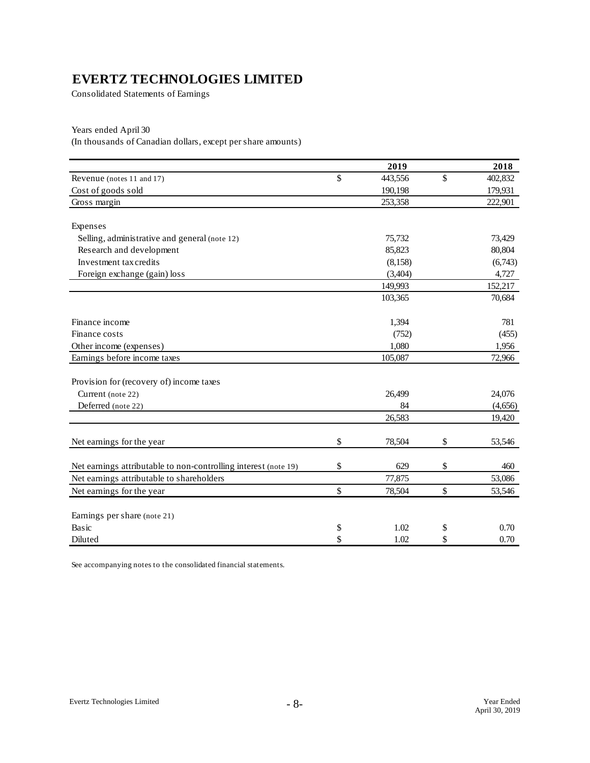Consolidated Statements of Earnings

Years ended April 30

(In thousands of Canadian dollars, except per share amounts)

|                                                                 | 2019          | 2018          |
|-----------------------------------------------------------------|---------------|---------------|
| Revenue (notes 11 and 17)                                       | \$<br>443,556 | \$<br>402,832 |
| Cost of goods sold                                              | 190,198       | 179,931       |
| Gross margin                                                    | 253,358       | 222,901       |
| Expenses                                                        |               |               |
| Selling, administrative and general (note 12)                   | 75,732        | 73,429        |
| Research and development                                        | 85,823        | 80,804        |
| Investment tax credits                                          | (8, 158)      | (6,743)       |
| Foreign exchange (gain) loss                                    | (3,404)       | 4,727         |
|                                                                 | 149,993       | 152,217       |
|                                                                 | 103,365       | 70,684        |
| Finance income                                                  | 1,394         | 781           |
| Finance costs                                                   | (752)         | (455)         |
| Other income (expenses)                                         | 1,080         | 1,956         |
| Earnings before income taxes                                    | 105,087       | 72,966        |
|                                                                 |               |               |
| Provision for (recovery of) income taxes                        |               |               |
| Current (note 22)                                               | 26,499        | 24,076        |
| Deferred (note 22)                                              | 84            | (4,656)       |
|                                                                 | 26,583        | 19,420        |
| Net earnings for the year                                       | \$<br>78,504  | \$<br>53,546  |
|                                                                 |               |               |
| Net earnings attributable to non-controlling interest (note 19) | \$<br>629     | \$<br>460     |
| Net earnings attributable to shareholders                       | 77,875        | 53,086        |
| Net earnings for the year                                       | \$<br>78,504  | \$<br>53,546  |
| Earnings per share (note 21)                                    |               |               |
| Basic                                                           | \$<br>1.02    | \$<br>0.70    |
| Diluted                                                         | \$<br>1.02    | \$<br>0.70    |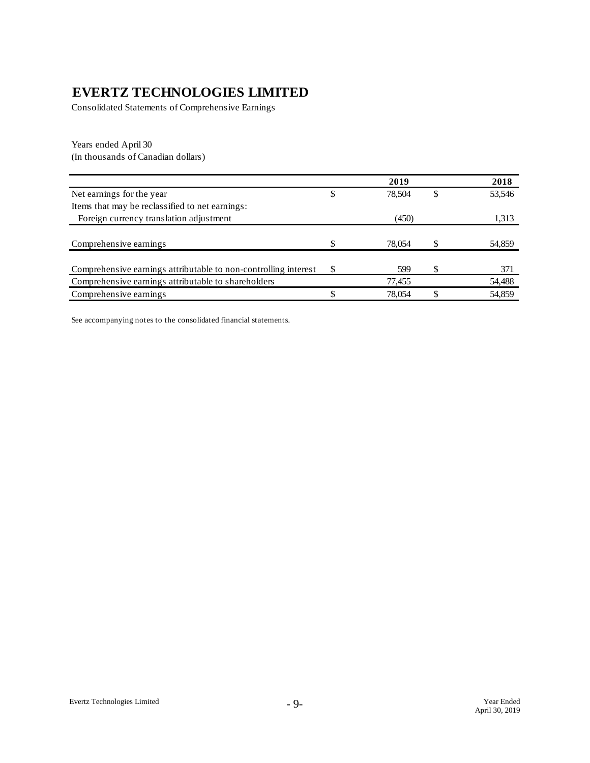Consolidated Statements of Comprehensive Earnings

Years ended April 30 (In thousands of Canadian dollars)

|                                                                 | 2019   |   | 2018   |
|-----------------------------------------------------------------|--------|---|--------|
| Net earnings for the year.                                      | 78.504 | S | 53,546 |
| Items that may be reclassified to net earnings:                 |        |   |        |
| Foreign currency translation adjustment                         | (450)  |   | 1,313  |
|                                                                 |        |   |        |
| Comprehensive earnings                                          | 78,054 |   | 54,859 |
|                                                                 |        |   |        |
| Comprehensive earnings attributable to non-controlling interest | 599    |   | 371    |
| Comprehensive earnings attributable to shareholders             | 77,455 |   | 54,488 |
| Comprehensive earnings                                          | 78.054 |   | 54,859 |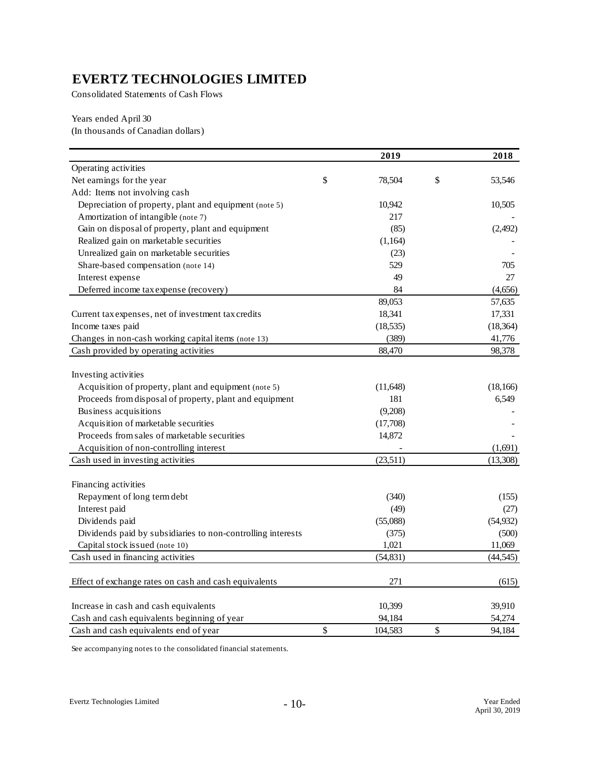Consolidated Statements of Cash Flows

Years ended April 30 (In thousands of Canadian dollars)

|                                                             | 2019          | 2018         |
|-------------------------------------------------------------|---------------|--------------|
| Operating activities                                        |               |              |
| Net earnings for the year                                   | \$<br>78,504  | \$<br>53,546 |
| Add: Items not involving cash                               |               |              |
| Depreciation of property, plant and equipment (note 5)      | 10,942        | 10,505       |
| Amortization of intangible (note 7)                         | 217           |              |
| Gain on disposal of property, plant and equipment           | (85)          | (2,492)      |
| Realized gain on marketable securities                      | (1,164)       |              |
| Unrealized gain on marketable securities                    | (23)          |              |
| Share-based compensation (note 14)                          | 529           | 705          |
| Interest expense                                            | 49            | 27           |
| Deferred income tax expense (recovery)                      | 84            | (4,656)      |
|                                                             | 89,053        | 57,635       |
| Current tax expenses, net of investment tax credits         | 18,341        | 17,331       |
| Income taxes paid                                           | (18, 535)     | (18, 364)    |
| Changes in non-cash working capital items (note 13)         | (389)         | 41,776       |
| Cash provided by operating activities                       | 88,470        | 98,378       |
| Investing activities                                        |               |              |
| Acquisition of property, plant and equipment (note 5)       | (11, 648)     | (18, 166)    |
| Proceeds from disposal of property, plant and equipment     | 181           | 6,549        |
| Business acquisitions                                       | (9,208)       |              |
| Acquisition of marketable securities                        | (17,708)      |              |
| Proceeds from sales of marketable securities                | 14,872        |              |
| Acquisition of non-controlling interest                     |               | (1,691)      |
| Cash used in investing activities                           | (23,511)      | (13,308)     |
|                                                             |               |              |
| Financing activities                                        |               |              |
| Repayment of long term debt                                 | (340)         | (155)        |
| Interest paid                                               | (49)          | (27)         |
| Dividends paid                                              | (55,088)      | (54, 932)    |
| Dividends paid by subsidiaries to non-controlling interests | (375)         | (500)        |
| Capital stock issued (note 10)                              | 1,021         | 11,069       |
| Cash used in financing activities                           | (54, 831)     | (44, 545)    |
| Effect of exchange rates on cash and cash equivalents       | 271           | (615)        |
| Increase in cash and cash equivalents                       | 10,399        | 39,910       |
| Cash and cash equivalents beginning of year                 | 94,184        | 54,274       |
| Cash and cash equivalents end of year                       | \$<br>104,583 | \$<br>94,184 |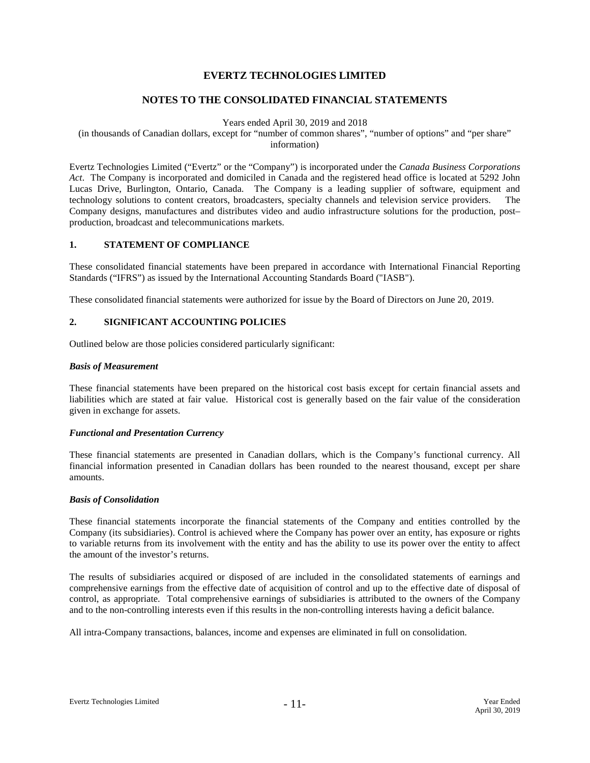# **NOTES TO THE CONSOLIDATED FINANCIAL STATEMENTS**

Years ended April 30, 2019 and 2018

(in thousands of Canadian dollars, except for "number of common shares", "number of options" and "per share" information)

Evertz Technologies Limited ("Evertz" or the "Company") is incorporated under the *Canada Business Corporations Act*. The Company is incorporated and domiciled in Canada and the registered head office is located at 5292 John Lucas Drive, Burlington, Ontario, Canada. The Company is a leading supplier of software, equipment and technology solutions to content creators, broadcasters, specialty channels and television service providers. The Company designs, manufactures and distributes video and audio infrastructure solutions for the production, post– production, broadcast and telecommunications markets.

# **1. STATEMENT OF COMPLIANCE**

These consolidated financial statements have been prepared in accordance with International Financial Reporting Standards ("IFRS") as issued by the International Accounting Standards Board ("IASB").

These consolidated financial statements were authorized for issue by the Board of Directors on June 20, 2019.

# **2. SIGNIFICANT ACCOUNTING POLICIES**

Outlined below are those policies considered particularly significant:

# *Basis of Measurement*

These financial statements have been prepared on the historical cost basis except for certain financial assets and liabilities which are stated at fair value. Historical cost is generally based on the fair value of the consideration given in exchange for assets.

# *Functional and Presentation Currency*

These financial statements are presented in Canadian dollars, which is the Company's functional currency. All financial information presented in Canadian dollars has been rounded to the nearest thousand, except per share amounts.

# *Basis of Consolidation*

These financial statements incorporate the financial statements of the Company and entities controlled by the Company (its subsidiaries). Control is achieved where the Company has power over an entity, has exposure or rights to variable returns from its involvement with the entity and has the ability to use its power over the entity to affect the amount of the investor's returns.

The results of subsidiaries acquired or disposed of are included in the consolidated statements of earnings and comprehensive earnings from the effective date of acquisition of control and up to the effective date of disposal of control, as appropriate. Total comprehensive earnings of subsidiaries is attributed to the owners of the Company and to the non-controlling interests even if this results in the non-controlling interests having a deficit balance.

All intra-Company transactions, balances, income and expenses are eliminated in full on consolidation.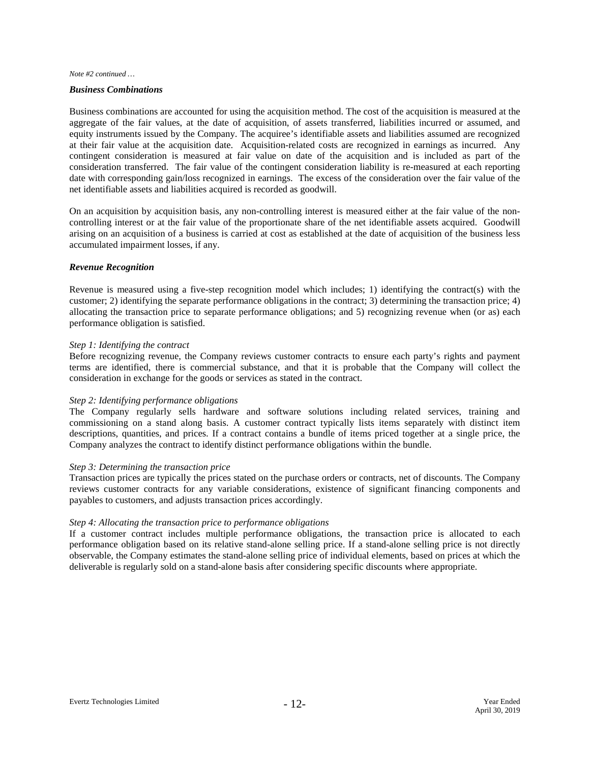# *Business Combinations*

Business combinations are accounted for using the acquisition method. The cost of the acquisition is measured at the aggregate of the fair values, at the date of acquisition, of assets transferred, liabilities incurred or assumed, and equity instruments issued by the Company. The acquiree's identifiable assets and liabilities assumed are recognized at their fair value at the acquisition date. Acquisition-related costs are recognized in earnings as incurred. Any contingent consideration is measured at fair value on date of the acquisition and is included as part of the consideration transferred. The fair value of the contingent consideration liability is re-measured at each reporting date with corresponding gain/loss recognized in earnings. The excess of the consideration over the fair value of the net identifiable assets and liabilities acquired is recorded as goodwill.

On an acquisition by acquisition basis, any non-controlling interest is measured either at the fair value of the noncontrolling interest or at the fair value of the proportionate share of the net identifiable assets acquired. Goodwill arising on an acquisition of a business is carried at cost as established at the date of acquisition of the business less accumulated impairment losses, if any.

# *Revenue Recognition*

Revenue is measured using a five-step recognition model which includes; 1) identifying the contract(s) with the customer; 2) identifying the separate performance obligations in the contract; 3) determining the transaction price; 4) allocating the transaction price to separate performance obligations; and 5) recognizing revenue when (or as) each performance obligation is satisfied.

# *Step 1: Identifying the contract*

Before recognizing revenue, the Company reviews customer contracts to ensure each party's rights and payment terms are identified, there is commercial substance, and that it is probable that the Company will collect the consideration in exchange for the goods or services as stated in the contract.

# *Step 2: Identifying performance obligations*

The Company regularly sells hardware and software solutions including related services, training and commissioning on a stand along basis. A customer contract typically lists items separately with distinct item descriptions, quantities, and prices. If a contract contains a bundle of items priced together at a single price, the Company analyzes the contract to identify distinct performance obligations within the bundle.

# *Step 3: Determining the transaction price*

Transaction prices are typically the prices stated on the purchase orders or contracts, net of discounts. The Company reviews customer contracts for any variable considerations, existence of significant financing components and payables to customers, and adjusts transaction prices accordingly.

# *Step 4: Allocating the transaction price to performance obligations*

If a customer contract includes multiple performance obligations, the transaction price is allocated to each performance obligation based on its relative stand-alone selling price. If a stand-alone selling price is not directly observable, the Company estimates the stand-alone selling price of individual elements, based on prices at which the deliverable is regularly sold on a stand-alone basis after considering specific discounts where appropriate.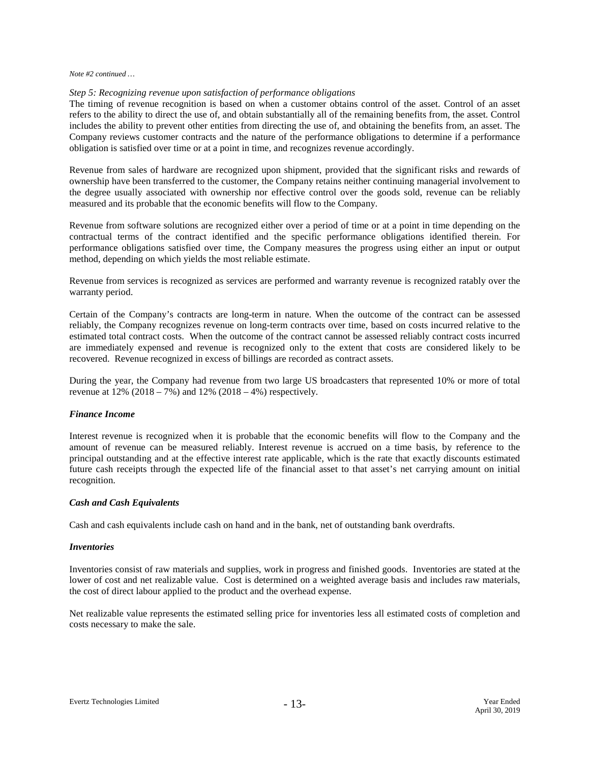# *Step 5: Recognizing revenue upon satisfaction of performance obligations*

The timing of revenue recognition is based on when a customer obtains control of the asset. Control of an asset refers to the ability to direct the use of, and obtain substantially all of the remaining benefits from, the asset. Control includes the ability to prevent other entities from directing the use of, and obtaining the benefits from, an asset. The Company reviews customer contracts and the nature of the performance obligations to determine if a performance obligation is satisfied over time or at a point in time, and recognizes revenue accordingly.

Revenue from sales of hardware are recognized upon shipment, provided that the significant risks and rewards of ownership have been transferred to the customer, the Company retains neither continuing managerial involvement to the degree usually associated with ownership nor effective control over the goods sold, revenue can be reliably measured and its probable that the economic benefits will flow to the Company.

Revenue from software solutions are recognized either over a period of time or at a point in time depending on the contractual terms of the contract identified and the specific performance obligations identified therein. For performance obligations satisfied over time, the Company measures the progress using either an input or output method, depending on which yields the most reliable estimate.

Revenue from services is recognized as services are performed and warranty revenue is recognized ratably over the warranty period.

Certain of the Company's contracts are long-term in nature. When the outcome of the contract can be assessed reliably, the Company recognizes revenue on long-term contracts over time, based on costs incurred relative to the estimated total contract costs. When the outcome of the contract cannot be assessed reliably contract costs incurred are immediately expensed and revenue is recognized only to the extent that costs are considered likely to be recovered. Revenue recognized in excess of billings are recorded as contract assets.

During the year, the Company had revenue from two large US broadcasters that represented 10% or more of total revenue at  $12\%$  (2018 – 7%) and  $12\%$  (2018 – 4%) respectively.

# *Finance Income*

Interest revenue is recognized when it is probable that the economic benefits will flow to the Company and the amount of revenue can be measured reliably. Interest revenue is accrued on a time basis, by reference to the principal outstanding and at the effective interest rate applicable, which is the rate that exactly discounts estimated future cash receipts through the expected life of the financial asset to that asset's net carrying amount on initial recognition.

# *Cash and Cash Equivalents*

Cash and cash equivalents include cash on hand and in the bank, net of outstanding bank overdrafts.

#### *Inventories*

Inventories consist of raw materials and supplies, work in progress and finished goods. Inventories are stated at the lower of cost and net realizable value. Cost is determined on a weighted average basis and includes raw materials, the cost of direct labour applied to the product and the overhead expense.

Net realizable value represents the estimated selling price for inventories less all estimated costs of completion and costs necessary to make the sale.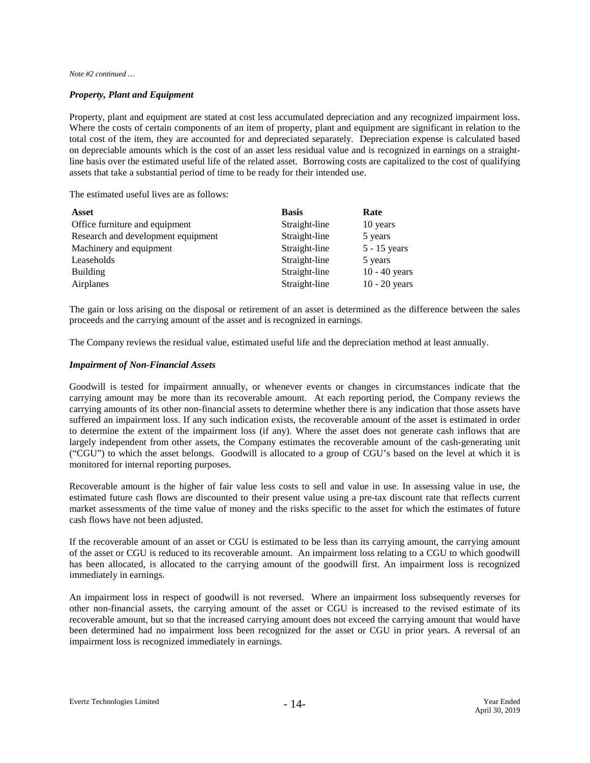# *Property, Plant and Equipment*

Property, plant and equipment are stated at cost less accumulated depreciation and any recognized impairment loss. Where the costs of certain components of an item of property, plant and equipment are significant in relation to the total cost of the item, they are accounted for and depreciated separately. Depreciation expense is calculated based on depreciable amounts which is the cost of an asset less residual value and is recognized in earnings on a straightline basis over the estimated useful life of the related asset. Borrowing costs are capitalized to the cost of qualifying assets that take a substantial period of time to be ready for their intended use.

The estimated useful lives are as follows:

| Asset                              | <b>Basis</b>  | Rate            |
|------------------------------------|---------------|-----------------|
| Office furniture and equipment     | Straight-line | 10 years        |
| Research and development equipment | Straight-line | 5 years         |
| Machinery and equipment            | Straight-line | $5 - 15$ years  |
| Leaseholds                         | Straight-line | 5 years         |
| <b>Building</b>                    | Straight-line | $10 - 40$ years |
| Airplanes                          | Straight-line | $10 - 20$ years |

The gain or loss arising on the disposal or retirement of an asset is determined as the difference between the sales proceeds and the carrying amount of the asset and is recognized in earnings.

The Company reviews the residual value, estimated useful life and the depreciation method at least annually.

# *Impairment of Non-Financial Assets*

Goodwill is tested for impairment annually, or whenever events or changes in circumstances indicate that the carrying amount may be more than its recoverable amount. At each reporting period, the Company reviews the carrying amounts of its other non-financial assets to determine whether there is any indication that those assets have suffered an impairment loss. If any such indication exists, the recoverable amount of the asset is estimated in order to determine the extent of the impairment loss (if any). Where the asset does not generate cash inflows that are largely independent from other assets, the Company estimates the recoverable amount of the cash-generating unit ("CGU") to which the asset belongs. Goodwill is allocated to a group of CGU's based on the level at which it is monitored for internal reporting purposes.

Recoverable amount is the higher of fair value less costs to sell and value in use. In assessing value in use, the estimated future cash flows are discounted to their present value using a pre-tax discount rate that reflects current market assessments of the time value of money and the risks specific to the asset for which the estimates of future cash flows have not been adjusted.

If the recoverable amount of an asset or CGU is estimated to be less than its carrying amount, the carrying amount of the asset or CGU is reduced to its recoverable amount. An impairment loss relating to a CGU to which goodwill has been allocated, is allocated to the carrying amount of the goodwill first. An impairment loss is recognized immediately in earnings.

An impairment loss in respect of goodwill is not reversed. Where an impairment loss subsequently reverses for other non-financial assets, the carrying amount of the asset or CGU is increased to the revised estimate of its recoverable amount, but so that the increased carrying amount does not exceed the carrying amount that would have been determined had no impairment loss been recognized for the asset or CGU in prior years. A reversal of an impairment loss is recognized immediately in earnings.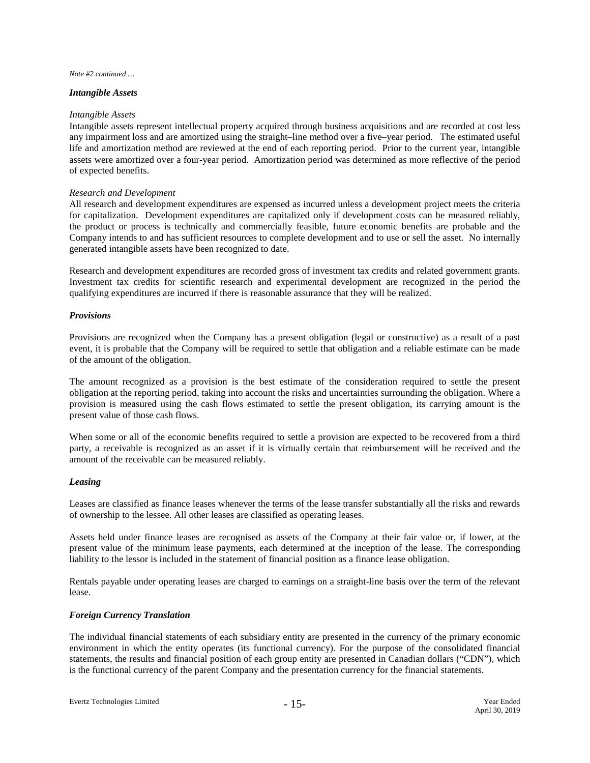#### *Intangible Assets*

#### *Intangible Assets*

Intangible assets represent intellectual property acquired through business acquisitions and are recorded at cost less any impairment loss and are amortized using the straight–line method over a five–year period. The estimated useful life and amortization method are reviewed at the end of each reporting period. Prior to the current year, intangible assets were amortized over a four-year period. Amortization period was determined as more reflective of the period of expected benefits.

# *Research and Development*

All research and development expenditures are expensed as incurred unless a development project meets the criteria for capitalization. Development expenditures are capitalized only if development costs can be measured reliably, the product or process is technically and commercially feasible, future economic benefits are probable and the Company intends to and has sufficient resources to complete development and to use or sell the asset. No internally generated intangible assets have been recognized to date.

Research and development expenditures are recorded gross of investment tax credits and related government grants. Investment tax credits for scientific research and experimental development are recognized in the period the qualifying expenditures are incurred if there is reasonable assurance that they will be realized.

# *Provisions*

Provisions are recognized when the Company has a present obligation (legal or constructive) as a result of a past event, it is probable that the Company will be required to settle that obligation and a reliable estimate can be made of the amount of the obligation.

The amount recognized as a provision is the best estimate of the consideration required to settle the present obligation at the reporting period, taking into account the risks and uncertainties surrounding the obligation. Where a provision is measured using the cash flows estimated to settle the present obligation, its carrying amount is the present value of those cash flows.

When some or all of the economic benefits required to settle a provision are expected to be recovered from a third party, a receivable is recognized as an asset if it is virtually certain that reimbursement will be received and the amount of the receivable can be measured reliably.

# *Leasing*

Leases are classified as finance leases whenever the terms of the lease transfer substantially all the risks and rewards of ownership to the lessee. All other leases are classified as operating leases.

Assets held under finance leases are recognised as assets of the Company at their fair value or, if lower, at the present value of the minimum lease payments, each determined at the inception of the lease. The corresponding liability to the lessor is included in the statement of financial position as a finance lease obligation.

Rentals payable under operating leases are charged to earnings on a straight-line basis over the term of the relevant lease.

# *Foreign Currency Translation*

The individual financial statements of each subsidiary entity are presented in the currency of the primary economic environment in which the entity operates (its functional currency). For the purpose of the consolidated financial statements, the results and financial position of each group entity are presented in Canadian dollars ("CDN"), which is the functional currency of the parent Company and the presentation currency for the financial statements.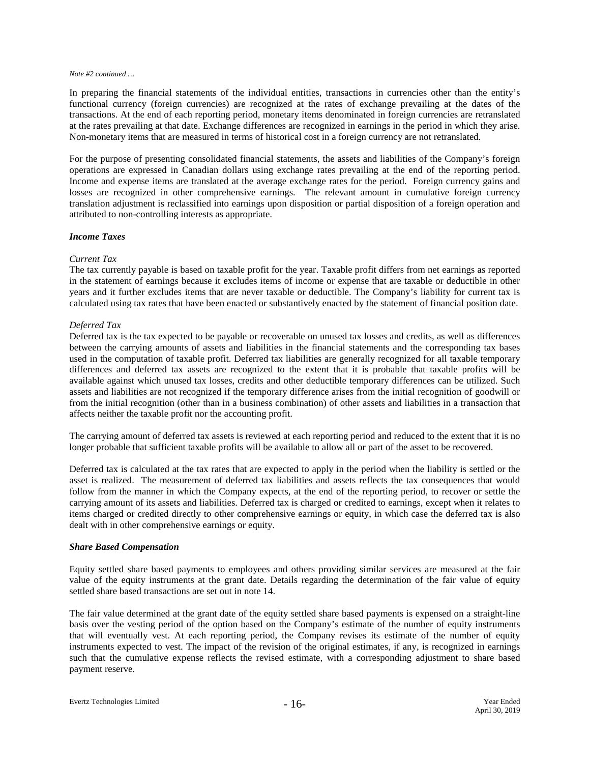In preparing the financial statements of the individual entities, transactions in currencies other than the entity's functional currency (foreign currencies) are recognized at the rates of exchange prevailing at the dates of the transactions. At the end of each reporting period, monetary items denominated in foreign currencies are retranslated at the rates prevailing at that date. Exchange differences are recognized in earnings in the period in which they arise. Non-monetary items that are measured in terms of historical cost in a foreign currency are not retranslated.

For the purpose of presenting consolidated financial statements, the assets and liabilities of the Company's foreign operations are expressed in Canadian dollars using exchange rates prevailing at the end of the reporting period. Income and expense items are translated at the average exchange rates for the period. Foreign currency gains and losses are recognized in other comprehensive earnings. The relevant amount in cumulative foreign currency translation adjustment is reclassified into earnings upon disposition or partial disposition of a foreign operation and attributed to non-controlling interests as appropriate.

# *Income Taxes*

# *Current Tax*

The tax currently payable is based on taxable profit for the year. Taxable profit differs from net earnings as reported in the statement of earnings because it excludes items of income or expense that are taxable or deductible in other years and it further excludes items that are never taxable or deductible. The Company's liability for current tax is calculated using tax rates that have been enacted or substantively enacted by the statement of financial position date.

# *Deferred Tax*

Deferred tax is the tax expected to be payable or recoverable on unused tax losses and credits, as well as differences between the carrying amounts of assets and liabilities in the financial statements and the corresponding tax bases used in the computation of taxable profit. Deferred tax liabilities are generally recognized for all taxable temporary differences and deferred tax assets are recognized to the extent that it is probable that taxable profits will be available against which unused tax losses, credits and other deductible temporary differences can be utilized. Such assets and liabilities are not recognized if the temporary difference arises from the initial recognition of goodwill or from the initial recognition (other than in a business combination) of other assets and liabilities in a transaction that affects neither the taxable profit nor the accounting profit.

The carrying amount of deferred tax assets is reviewed at each reporting period and reduced to the extent that it is no longer probable that sufficient taxable profits will be available to allow all or part of the asset to be recovered.

Deferred tax is calculated at the tax rates that are expected to apply in the period when the liability is settled or the asset is realized. The measurement of deferred tax liabilities and assets reflects the tax consequences that would follow from the manner in which the Company expects, at the end of the reporting period, to recover or settle the carrying amount of its assets and liabilities. Deferred tax is charged or credited to earnings, except when it relates to items charged or credited directly to other comprehensive earnings or equity, in which case the deferred tax is also dealt with in other comprehensive earnings or equity.

# *Share Based Compensation*

Equity settled share based payments to employees and others providing similar services are measured at the fair value of the equity instruments at the grant date. Details regarding the determination of the fair value of equity settled share based transactions are set out in note 14.

The fair value determined at the grant date of the equity settled share based payments is expensed on a straight-line basis over the vesting period of the option based on the Company's estimate of the number of equity instruments that will eventually vest. At each reporting period, the Company revises its estimate of the number of equity instruments expected to vest. The impact of the revision of the original estimates, if any, is recognized in earnings such that the cumulative expense reflects the revised estimate, with a corresponding adjustment to share based payment reserve.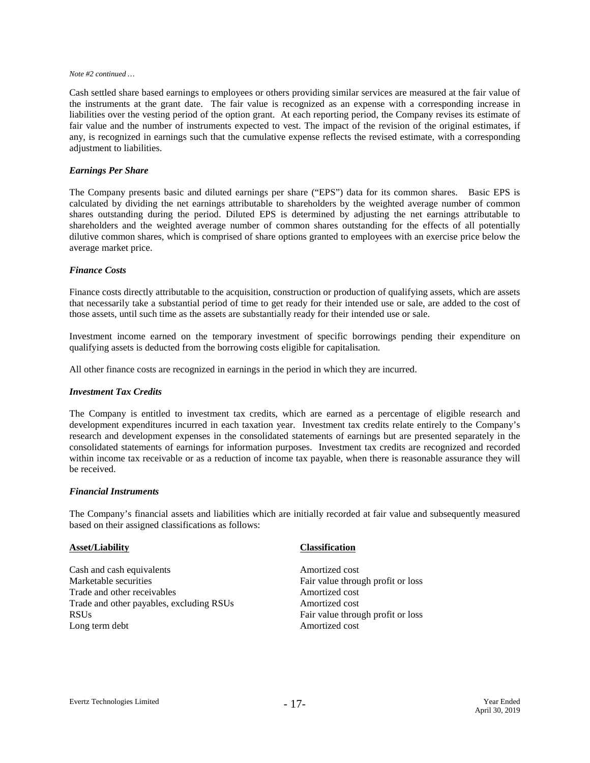Cash settled share based earnings to employees or others providing similar services are measured at the fair value of the instruments at the grant date. The fair value is recognized as an expense with a corresponding increase in liabilities over the vesting period of the option grant. At each reporting period, the Company revises its estimate of fair value and the number of instruments expected to vest. The impact of the revision of the original estimates, if any, is recognized in earnings such that the cumulative expense reflects the revised estimate, with a corresponding adjustment to liabilities.

# *Earnings Per Share*

The Company presents basic and diluted earnings per share ("EPS") data for its common shares. Basic EPS is calculated by dividing the net earnings attributable to shareholders by the weighted average number of common shares outstanding during the period. Diluted EPS is determined by adjusting the net earnings attributable to shareholders and the weighted average number of common shares outstanding for the effects of all potentially dilutive common shares, which is comprised of share options granted to employees with an exercise price below the average market price.

# *Finance Costs*

Finance costs directly attributable to the acquisition, construction or production of qualifying assets, which are assets that necessarily take a substantial period of time to get ready for their intended use or sale, are added to the cost of those assets, until such time as the assets are substantially ready for their intended use or sale.

Investment income earned on the temporary investment of specific borrowings pending their expenditure on qualifying assets is deducted from the borrowing costs eligible for capitalisation.

All other finance costs are recognized in earnings in the period in which they are incurred.

# *Investment Tax Credits*

The Company is entitled to investment tax credits, which are earned as a percentage of eligible research and development expenditures incurred in each taxation year. Investment tax credits relate entirely to the Company's research and development expenses in the consolidated statements of earnings but are presented separately in the consolidated statements of earnings for information purposes. Investment tax credits are recognized and recorded within income tax receivable or as a reduction of income tax payable, when there is reasonable assurance they will be received.

# *Financial Instruments*

The Company's financial assets and liabilities which are initially recorded at fair value and subsequently measured based on their assigned classifications as follows:

# **Asset/Liability Classification**

Cash and cash equivalents **Amortized cost**<br>
Marketable securities **Amortized cost**<br>
Amortized cost<br> **Amortized cost** Trade and other receivables and  $\alpha$  and  $\alpha$  and  $\alpha$  and  $\alpha$  and  $\alpha$  and  $\alpha$  and  $\alpha$  and  $\alpha$  and  $\alpha$  and  $\alpha$  and  $\alpha$  and  $\alpha$  and  $\alpha$  and  $\alpha$  and  $\alpha$  and  $\alpha$  and  $\alpha$  and  $\alpha$  and  $\alpha$  and  $\alpha$  and  $\alpha$  and Trade and other payables, excluding RSUs Amortized cost RSUs Fair value through profit or loss Long term debt Amortized cost

Fair value through profit or loss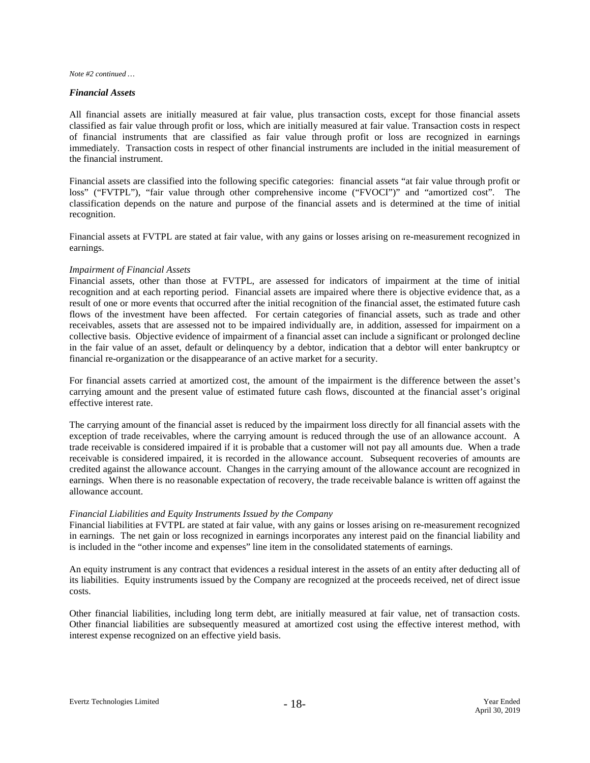#### *Financial Assets*

All financial assets are initially measured at fair value, plus transaction costs, except for those financial assets classified as fair value through profit or loss, which are initially measured at fair value. Transaction costs in respect of financial instruments that are classified as fair value through profit or loss are recognized in earnings immediately. Transaction costs in respect of other financial instruments are included in the initial measurement of the financial instrument.

Financial assets are classified into the following specific categories: financial assets "at fair value through profit or loss" ("FVTPL"), "fair value through other comprehensive income ("FVOCI")" and "amortized cost". The classification depends on the nature and purpose of the financial assets and is determined at the time of initial recognition.

Financial assets at FVTPL are stated at fair value, with any gains or losses arising on re-measurement recognized in earnings.

# *Impairment of Financial Assets*

Financial assets, other than those at FVTPL, are assessed for indicators of impairment at the time of initial recognition and at each reporting period. Financial assets are impaired where there is objective evidence that, as a result of one or more events that occurred after the initial recognition of the financial asset, the estimated future cash flows of the investment have been affected. For certain categories of financial assets, such as trade and other receivables, assets that are assessed not to be impaired individually are, in addition, assessed for impairment on a collective basis. Objective evidence of impairment of a financial asset can include a significant or prolonged decline in the fair value of an asset, default or delinquency by a debtor, indication that a debtor will enter bankruptcy or financial re-organization or the disappearance of an active market for a security.

For financial assets carried at amortized cost, the amount of the impairment is the difference between the asset's carrying amount and the present value of estimated future cash flows, discounted at the financial asset's original effective interest rate.

The carrying amount of the financial asset is reduced by the impairment loss directly for all financial assets with the exception of trade receivables, where the carrying amount is reduced through the use of an allowance account. A trade receivable is considered impaired if it is probable that a customer will not pay all amounts due. When a trade receivable is considered impaired, it is recorded in the allowance account. Subsequent recoveries of amounts are credited against the allowance account. Changes in the carrying amount of the allowance account are recognized in earnings. When there is no reasonable expectation of recovery, the trade receivable balance is written off against the allowance account.

# *Financial Liabilities and Equity Instruments Issued by the Company*

Financial liabilities at FVTPL are stated at fair value, with any gains or losses arising on re-measurement recognized in earnings. The net gain or loss recognized in earnings incorporates any interest paid on the financial liability and is included in the "other income and expenses" line item in the consolidated statements of earnings.

An equity instrument is any contract that evidences a residual interest in the assets of an entity after deducting all of its liabilities. Equity instruments issued by the Company are recognized at the proceeds received, net of direct issue costs.

Other financial liabilities, including long term debt, are initially measured at fair value, net of transaction costs. Other financial liabilities are subsequently measured at amortized cost using the effective interest method, with interest expense recognized on an effective yield basis.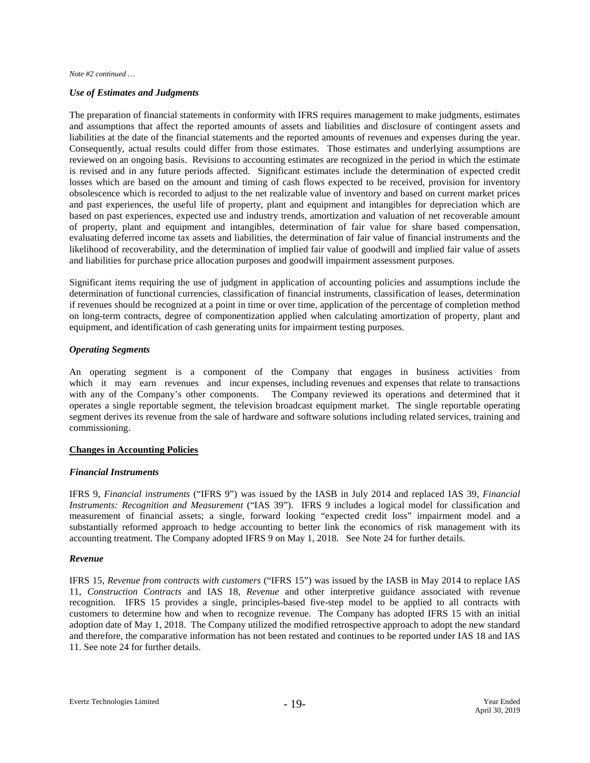# *Use of Estimates and Judgments*

The preparation of financial statements in conformity with IFRS requires management to make judgments, estimates and assumptions that affect the reported amounts of assets and liabilities and disclosure of contingent assets and liabilities at the date of the financial statements and the reported amounts of revenues and expenses during the year. Consequently, actual results could differ from those estimates. Those estimates and underlying assumptions are reviewed on an ongoing basis. Revisions to accounting estimates are recognized in the period in which the estimate is revised and in any future periods affected. Significant estimates include the determination of expected credit losses which are based on the amount and timing of cash flows expected to be received, provision for inventory obsolescence which is recorded to adjust to the net realizable value of inventory and based on current market prices and past experiences, the useful life of property, plant and equipment and intangibles for depreciation which are based on past experiences, expected use and industry trends, amortization and valuation of net recoverable amount of property, plant and equipment and intangibles, determination of fair value for share based compensation, evaluating deferred income tax assets and liabilities, the determination of fair value of financial instruments and the likelihood of recoverability, and the determination of implied fair value of goodwill and implied fair value of assets and liabilities for purchase price allocation purposes and goodwill impairment assessment purposes.

Significant items requiring the use of judgment in application of accounting policies and assumptions include the determination of functional currencies, classification of financial instruments, classification of leases, determination if revenues should be recognized at a point in time or over time, application of the percentage of completion method on long-term contracts, degree of componentization applied when calculating amortization of property, plant and equipment, and identification of cash generating units for impairment testing purposes.

# *Operating Segments*

An operating segment is a component of the Company that engages in business activities from which it may earn revenues and incur expenses, including revenues and expenses that relate to transactions with any of the Company's other components. The Company reviewed its operations and determined that it operates a single reportable segment, the television broadcast equipment market. The single reportable operating segment derives its revenue from the sale of hardware and software solutions including related services, training and commissioning.

# **Changes in Accounting Policies**

# *Financial Instruments*

IFRS 9, *Financial instruments* ("IFRS 9") was issued by the IASB in July 2014 and replaced IAS 39, *Financial Instruments: Recognition and Measurement* ("IAS 39"). IFRS 9 includes a logical model for classification and measurement of financial assets; a single, forward looking "expected credit loss" impairment model and a substantially reformed approach to hedge accounting to better link the economics of risk management with its accounting treatment. The Company adopted IFRS 9 on May 1, 2018. See Note 24 for further details.

# *Revenue*

IFRS 15, *Revenue from contracts with customers* ("IFRS 15") was issued by the IASB in May 2014 to replace IAS 11, *Construction Contracts* and IAS 18, *Revenue* and other interpretive guidance associated with revenue recognition. IFRS 15 provides a single, principles-based five-step model to be applied to all contracts with customers to determine how and when to recognize revenue. The Company has adopted IFRS 15 with an initial adoption date of May 1, 2018. The Company utilized the modified retrospective approach to adopt the new standard and therefore, the comparative information has not been restated and continues to be reported under IAS 18 and IAS 11. See note 24 for further details.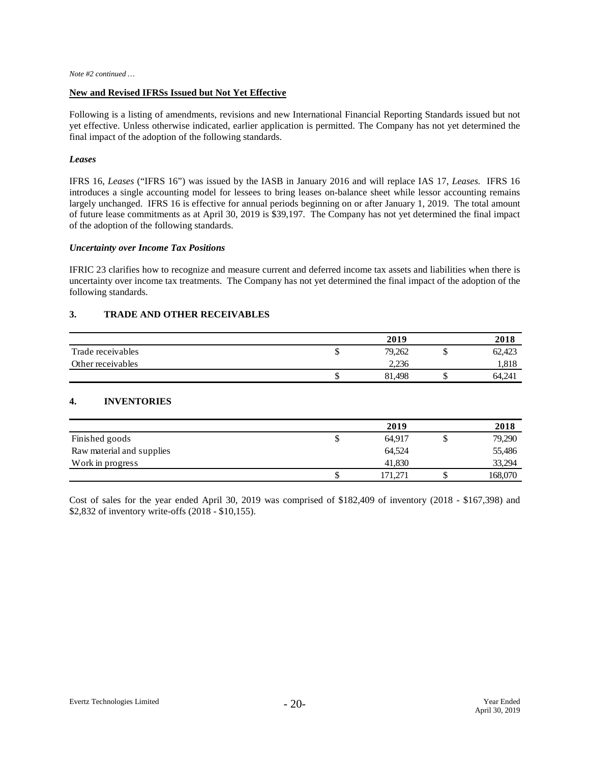# **New and Revised IFRSs Issued but Not Yet Effective**

Following is a listing of amendments, revisions and new International Financial Reporting Standards issued but not yet effective. Unless otherwise indicated, earlier application is permitted. The Company has not yet determined the final impact of the adoption of the following standards.

# *Leases*

IFRS 16, *Leases* ("IFRS 16") was issued by the IASB in January 2016 and will replace IAS 17, *Leases.* IFRS 16 introduces a single accounting model for lessees to bring leases on-balance sheet while lessor accounting remains largely unchanged. IFRS 16 is effective for annual periods beginning on or after January 1, 2019. The total amount of future lease commitments as at April 30, 2019 is \$39,197. The Company has not yet determined the final impact of the adoption of the following standards.

# *Uncertainty over Income Tax Positions*

IFRIC 23 clarifies how to recognize and measure current and deferred income tax assets and liabilities when there is uncertainty over income tax treatments. The Company has not yet determined the final impact of the adoption of the following standards.

# **3. TRADE AND OTHER RECEIVABLES**

|                   |     | 2019   |    | 2018   |
|-------------------|-----|--------|----|--------|
| Trade receivables |     | 79,262 | ◡  | 62,423 |
| Other receivables |     | 2.236  |    | 1,818  |
|                   | ĸIJ | 81,498 | ۰D | 64,241 |

# **4. INVENTORIES**

|                           |   | 2019    | 2018    |
|---------------------------|---|---------|---------|
| Finished goods            |   | 64.917  | 79,290  |
| Raw material and supplies |   | 64.524  | 55,486  |
| Work in progress          |   | 41.830  | 33,294  |
|                           | Ъ | 171.271 | 168,070 |

Cost of sales for the year ended April 30, 2019 was comprised of \$182,409 of inventory (2018 - \$167,398) and \$2,832 of inventory write-offs (2018 - \$10,155).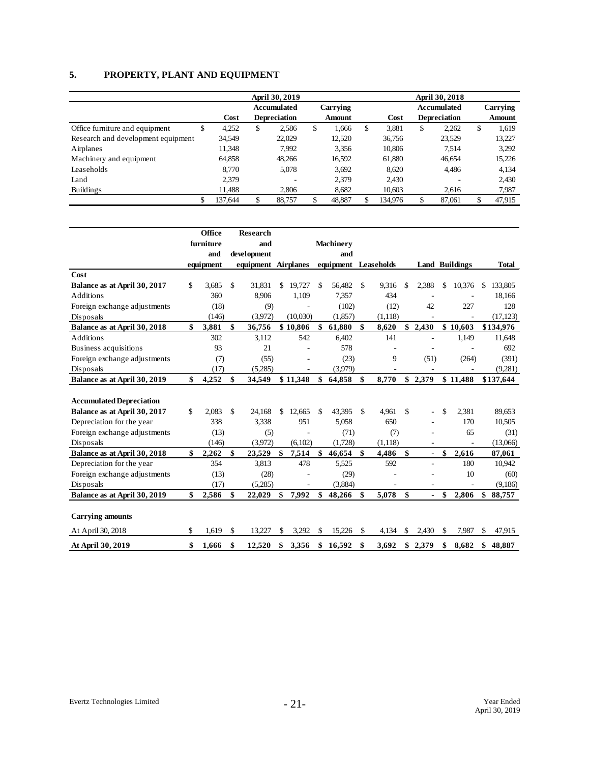# **5. PROPERTY, PLANT AND EQUIPMENT**

|                                    |             |        | <b>April 30, 2019</b> |     |          |    |         |             | <b>April 30, 2018</b> |              |
|------------------------------------|-------------|--------|-----------------------|-----|----------|----|---------|-------------|-----------------------|--------------|
|                                    |             |        | <b>Accumulated</b>    |     | Carrying |    |         | Accumulated | Carrying              |              |
|                                    | Cost        |        | <b>Depreciation</b>   |     | Amount   |    | Cost    |             | <b>Depreciation</b>   | Amount       |
| Office furniture and equipment     | \$<br>4,252 | \$     | 2,586                 | \$  | 1,666    | \$ | 3,881   | \$          | 2,262                 | \$<br>1,619  |
| Research and development equipment | 34,549      |        | 22,029                |     | 12.520   |    | 36,756  |             | 23,529                | 13,227       |
| Airplanes                          | 11,348      |        | 7.992                 |     | 3,356    |    | 10,806  |             | 7.514                 | 3,292        |
| Machinery and equipment            | 64,858      | 48,266 |                       |     | 16,592   |    | 61,880  |             | 46,654                | 15,226       |
| Leaseholds                         | 8.770       |        | 5,078                 |     | 3,692    |    | 8.620   |             | 4.486                 | 4,134        |
| Land                               | 2.379       |        | -                     |     | 2.379    |    | 2.430   |             |                       | 2.430        |
| <b>Buildings</b>                   | 11,488      | 2.806  |                       |     | 8,682    |    | 10,603  |             | 2.616                 | 7,987        |
|                                    | 137,644     |        | 88,757                | \$. | 48,887   |    | 134,976 | \$          | 87,061                | \$<br>47,915 |

|                                 | Office      |    | <b>Research</b>     |    |          |              |                  |               |            |               |                          |    |                          |    |              |
|---------------------------------|-------------|----|---------------------|----|----------|--------------|------------------|---------------|------------|---------------|--------------------------|----|--------------------------|----|--------------|
|                                 | furniture   |    | and                 |    |          |              | <b>Machinery</b> |               |            |               |                          |    |                          |    |              |
|                                 | and         |    | development         |    |          |              | and              |               |            |               |                          |    |                          |    |              |
|                                 | equipment   |    | equipment Airplanes |    |          |              | equipment        |               | Leaseholds |               |                          |    | <b>Land Buildings</b>    |    | <b>Total</b> |
| Cost                            |             |    |                     |    |          |              |                  |               |            |               |                          |    |                          |    |              |
| Balance as at April 30, 2017    | \$<br>3,685 | \$ | 31,831              | \$ | 19,727   | \$           | 56,482           | <sup>\$</sup> | 9,316      | \$            | 2,388                    | \$ | 10,376                   | S  | 133,805      |
| Additions                       | 360         |    | 8.906               |    | 1,109    |              | 7,357            |               | 434        |               |                          |    |                          |    | 18,166       |
| Foreign exchange adjustments    | (18)        |    | (9)                 |    |          |              | (102)            |               | (12)       |               | 42                       |    | 227                      |    | 128          |
| Disposals                       | (146)       |    | (3,972)             |    | (10,030) |              | (1,857)          |               | (1,118)    |               |                          |    |                          |    | (17, 123)    |
| Balance as at April 30, 2018    | \$<br>3,881 | \$ | 36,756              |    | \$10,806 | \$           | 61,880           | \$            | 8,620      | \$            | 2,430                    |    | \$10,603                 |    | \$134,976    |
| <b>Additions</b>                | 302         |    | 3,112               |    | 542      |              | 6,402            |               | 141        |               | ÷,                       |    | 1.149                    |    | 11,648       |
| Business acquisitions           | 93          |    | 21                  |    |          |              | 578              |               |            |               |                          |    |                          |    | 692          |
| Foreign exchange adjustments    | (7)         |    | (55)                |    |          |              | (23)             |               | 9          |               | (51)                     |    | (264)                    |    | (391)        |
| Disposals                       | (17)        |    | (5,285)             |    |          |              | (3,979)          |               |            |               |                          |    |                          |    | (9,281)      |
| Balance as at April 30, 2019    | \$<br>4,252 | \$ | 34,549              |    | \$11,348 | \$           | 64,858           | \$            | 8,770      |               | \$2,379                  |    | \$11,488                 |    | \$137,644    |
|                                 |             |    |                     |    |          |              |                  |               |            |               |                          |    |                          |    |              |
| <b>Accumulated Depreciation</b> |             |    |                     |    |          |              |                  |               |            |               |                          |    |                          |    |              |
| Balance as at April 30, 2017    | \$<br>2,083 | \$ | 24,168              | \$ | 12,665   | \$.          | 43,395           | <sup>\$</sup> | 4,961      | \$            |                          | \$ | 2,381                    |    | 89,653       |
| Depreciation for the year       | 338         |    | 3,338               |    | 951      |              | 5,058            |               | 650        |               |                          |    | 170                      |    | 10,505       |
| Foreign exchange adjustments    | (13)        |    | (5)                 |    |          |              | (71)             |               | (7)        |               |                          |    | 65                       |    | (31)         |
| Disposals                       | (146)       |    | (3,972)             |    | (6,102)  |              | (1,728)          |               | (1,118)    |               | $\overline{\phantom{a}}$ |    | $\overline{\phantom{a}}$ |    | (13,066)     |
| Balance as at April 30, 2018    | \$<br>2,262 | \$ | 23,529              | \$ | 7,514    | \$           | 46,654           | \$            | 4,486      | \$            | $\blacksquare$           | \$ | 2,616                    |    | 87,061       |
| Depreciation for the year       | 354         |    | 3,813               |    | 478      |              | 5,525            |               | 592        |               | $\overline{\phantom{a}}$ |    | 180                      |    | 10,942       |
| Foreign exchange adjustments    | (13)        |    | (28)                |    |          |              | (29)             |               |            |               |                          |    | 10                       |    | (60)         |
| Disposals                       | (17)        |    | (5,285)             |    |          |              | (3,884)          |               |            |               |                          |    |                          |    | (9,186)      |
| Balance as at April 30, 2019    | \$<br>2,586 | \$ | 22,029              | \$ | 7,992    | \$           | 48,266           | \$            | 5,078      | \$            | $\blacksquare$           | \$ | 2,806                    | \$ | 88,757       |
|                                 |             |    |                     |    |          |              |                  |               |            |               |                          |    |                          |    |              |
| <b>Carrying amounts</b>         |             |    |                     |    |          |              |                  |               |            |               |                          |    |                          |    |              |
| At April 30, 2018               | \$<br>1,619 | S. | 13,227              | S. | 3,292    | $\mathbb{S}$ | 15,226           | -S            | 4,134      | <sup>\$</sup> | 2,430                    | -S | 7,987                    | \$ | 47,915       |
| At April 30, 2019               | \$<br>1,666 | \$ | 12,520              | \$ | 3,356    | \$           | 16,592           | \$            | 3,692      |               | \$2,379                  | \$ | 8,682                    | \$ | 48,887       |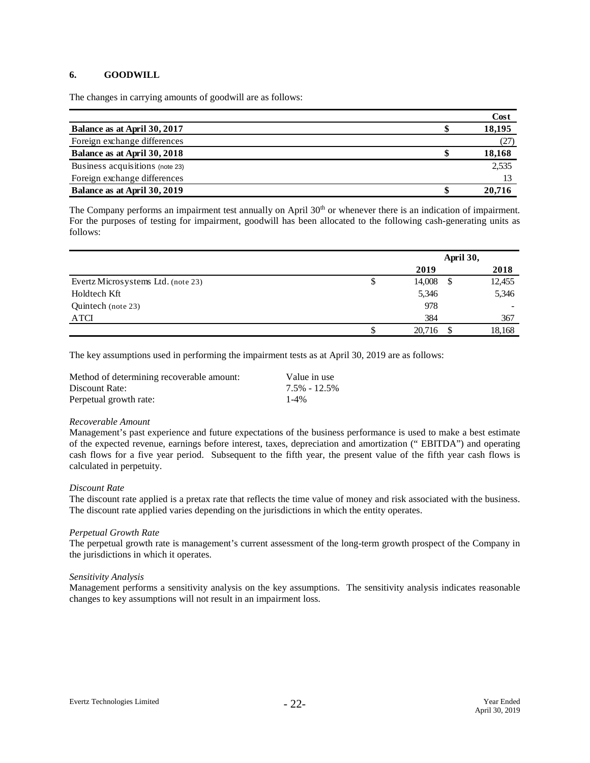# **6. GOODWILL**

The changes in carrying amounts of goodwill are as follows:

|                                 | Cost   |
|---------------------------------|--------|
| Balance as at April 30, 2017    | 18,195 |
| Foreign exchange differences    | (27)   |
| Balance as at April 30, 2018    | 18,168 |
| Business acquisitions (note 23) | 2,535  |
| Foreign exchange differences    |        |
| Balance as at April 30, 2019    | 20,716 |

The Company performs an impairment test annually on April 30<sup>th</sup> or whenever there is an indication of impairment. For the purposes of testing for impairment, goodwill has been allocated to the following cash-generating units as follows:

|                                    |          | April 30, |  |        |
|------------------------------------|----------|-----------|--|--------|
|                                    |          | 2019      |  | 2018   |
| Evertz Microsystems Ltd. (note 23) | S        | 14,008    |  | 12,455 |
| Holdtech Kft                       |          | 5,346     |  | 5,346  |
| Quintech (note 23)                 |          | 978       |  |        |
| ATCI                               |          | 384       |  | 367    |
|                                    | <b>S</b> | 20.716    |  | 18,168 |

The key assumptions used in performing the impairment tests as at April 30, 2019 are as follows:

| Method of determining recoverable amount: | Value in use |
|-------------------------------------------|--------------|
| Discount Rate:                            | 7.5% - 12.5% |
| Perpetual growth rate:                    | $1 - 4\%$    |

# *Recoverable Amount*

Management's past experience and future expectations of the business performance is used to make a best estimate of the expected revenue, earnings before interest, taxes, depreciation and amortization (" EBITDA") and operating cash flows for a five year period. Subsequent to the fifth year, the present value of the fifth year cash flows is calculated in perpetuity.

# *Discount Rate*

The discount rate applied is a pretax rate that reflects the time value of money and risk associated with the business. The discount rate applied varies depending on the jurisdictions in which the entity operates.

# *Perpetual Growth Rate*

The perpetual growth rate is management's current assessment of the long-term growth prospect of the Company in the jurisdictions in which it operates.

# *Sensitivity Analysis*

Management performs a sensitivity analysis on the key assumptions. The sensitivity analysis indicates reasonable changes to key assumptions will not result in an impairment loss.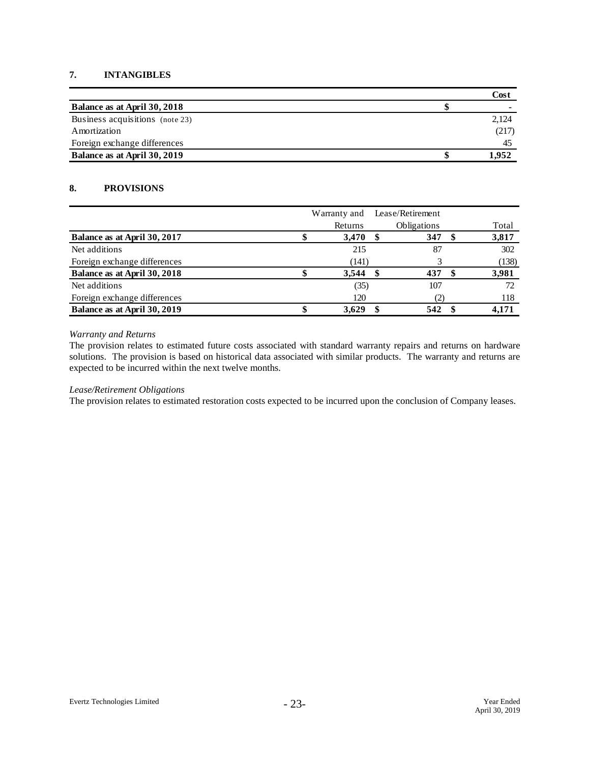# **7. INTANGIBLES**

|                                 | Cost  |
|---------------------------------|-------|
| Balance as at April 30, 2018    |       |
| Business acquisitions (note 23) | 2,124 |
| Amortization                    | (217) |
| Foreign exchange differences    | 45    |
| Balance as at April 30, 2019    | 1.952 |

# **8. PROVISIONS**

|                              | Warranty and | Lease/Retirement |     |       |
|------------------------------|--------------|------------------|-----|-------|
|                              | Returns      | Obligations      |     | Total |
| Balance as at April 30, 2017 | 3.470        | 347              | S   | 3,817 |
| Net additions                | 215          | 87               |     | 302   |
| Foreign exchange differences | (141)        |                  |     | (138) |
| Balance as at April 30, 2018 | 3,544        | 437              | -86 | 3,981 |
| Net additions                | (35)         | 107              |     | 72    |
| Foreign exchange differences | 120          | (2)              |     | 118   |
| Balance as at April 30, 2019 | 3.629        | 542              |     | 4,171 |

# *Warranty and Returns*

The provision relates to estimated future costs associated with standard warranty repairs and returns on hardware solutions. The provision is based on historical data associated with similar products. The warranty and returns are expected to be incurred within the next twelve months.

# *Lease/Retirement Obligations*

The provision relates to estimated restoration costs expected to be incurred upon the conclusion of Company leases.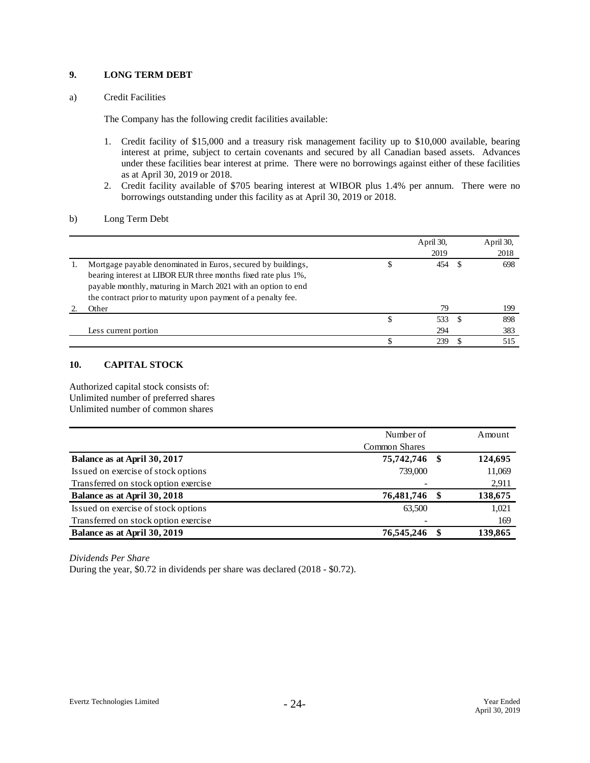# **9. LONG TERM DEBT**

# a) Credit Facilities

The Company has the following credit facilities available:

- 1. Credit facility of \$15,000 and a treasury risk management facility up to \$10,000 available, bearing interest at prime, subject to certain covenants and secured by all Canadian based assets. Advances under these facilities bear interest at prime. There were no borrowings against either of these facilities as at April 30, 2019 or 2018.
- 2. Credit facility available of \$705 bearing interest at WIBOR plus 1.4% per annum. There were no borrowings outstanding under this facility as at April 30, 2019 or 2018.

# b) Long Term Debt

|                                                                                                                                                                                                                                                                  | April 30,<br>2019 | April 30,<br>2018 |
|------------------------------------------------------------------------------------------------------------------------------------------------------------------------------------------------------------------------------------------------------------------|-------------------|-------------------|
| Mortgage payable denominated in Euros, secured by buildings,<br>bearing interest at LIBOR EUR three months fixed rate plus 1%,<br>payable monthly, maturing in March 2021 with an option to end<br>the contract prior to maturity upon payment of a penalty fee. | 454               | 698               |
| Other                                                                                                                                                                                                                                                            | 79                | 199               |
|                                                                                                                                                                                                                                                                  | 533               | 898               |
| Less current portion                                                                                                                                                                                                                                             | 294               | 383               |
|                                                                                                                                                                                                                                                                  | 239               | 515               |

# **10. CAPITAL STOCK**

Authorized capital stock consists of: Unlimited number of preferred shares Unlimited number of common shares

|                                      | Number of            |      | Amount  |
|--------------------------------------|----------------------|------|---------|
|                                      | <b>Common Shares</b> |      |         |
| Balance as at April 30, 2017         | 75,742,746           | - \$ | 124,695 |
| Issued on exercise of stock options  | 739,000              |      | 11,069  |
| Transferred on stock option exercise |                      |      | 2,911   |
| Balance as at April 30, 2018         | 76,481,746           | -8   | 138,675 |
| Issued on exercise of stock options  | 63,500               |      | 1,021   |
| Transferred on stock option exercise | ٠                    |      | 169     |
| Balance as at April 30, 2019         | 76.545.246           |      | 139.865 |

*Dividends Per Share*

During the year, \$0.72 in dividends per share was declared (2018 - \$0.72).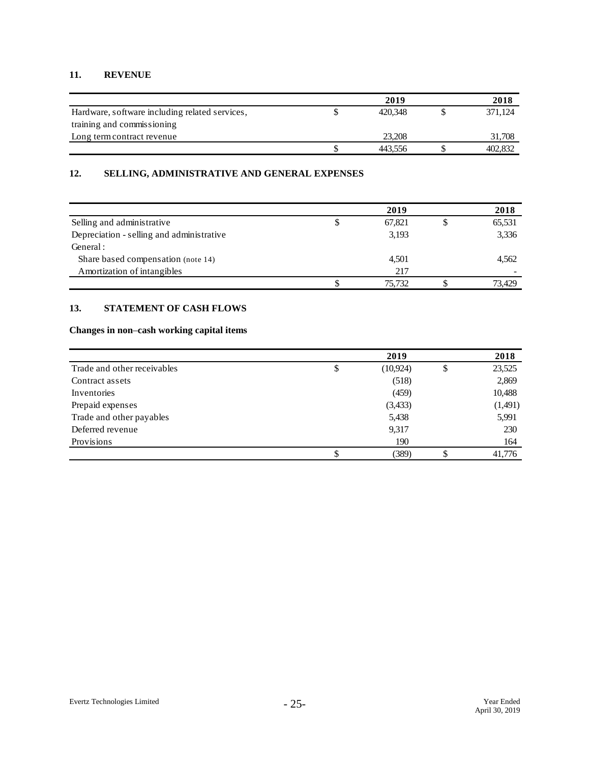# **11. REVENUE**

|                                                | 2019          | 2018    |
|------------------------------------------------|---------------|---------|
| Hardware, software including related services, | 420.348       | 371.124 |
| training and commissioning                     |               |         |
| Long term contract revenue                     | 23,208        | 31,708  |
|                                                | \$<br>443.556 | 402,832 |

# **12. SELLING, ADMINISTRATIVE AND GENERAL EXPENSES**

|                                           |    | 2019   | 2018   |
|-------------------------------------------|----|--------|--------|
| Selling and administrative                | \$ | 67,821 | 65,531 |
| Depreciation - selling and administrative |    | 3,193  | 3,336  |
| General:                                  |    |        |        |
| Share based compensation (note 14)        |    | 4,501  | 4.562  |
| Amortization of intangibles               |    | 217    |        |
|                                           | S  | 75.732 | 73.429 |

# **13. STATEMENT OF CASH FLOWS**

# **Changes in non**–**cash working capital items**

|                             |   | 2019      |    | 2018    |
|-----------------------------|---|-----------|----|---------|
| Trade and other receivables | Φ | (10, 924) | Φ  | 23,525  |
| Contract assets             |   | (518)     |    | 2,869   |
| Inventories                 |   | (459)     |    | 10,488  |
| Prepaid expenses            |   | (3,433)   |    | (1,491) |
| Trade and other payables    |   | 5,438     |    | 5,991   |
| Deferred revenue            |   | 9,317     |    | 230     |
| Provisions                  |   | 190       |    | 164     |
|                             | J | (389)     | \$ | 41,776  |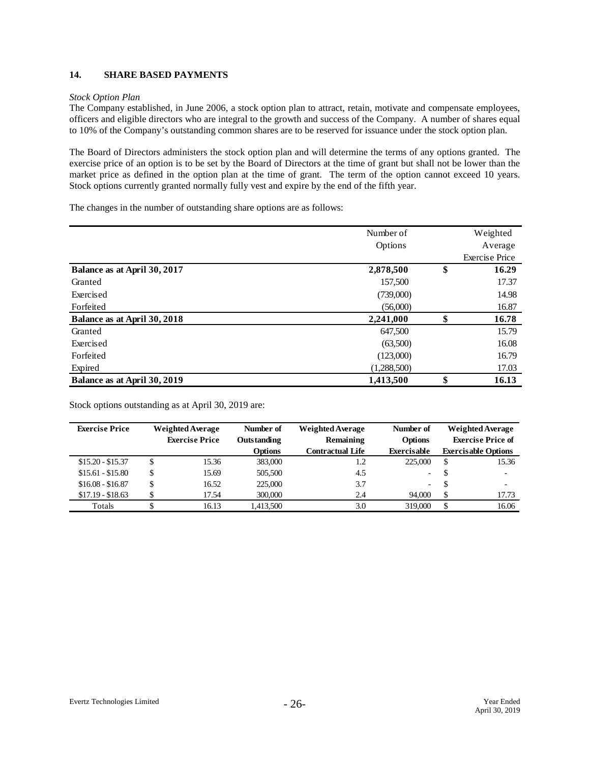# **14. SHARE BASED PAYMENTS**

# *Stock Option Plan*

The Company established, in June 2006, a stock option plan to attract, retain, motivate and compensate employees, officers and eligible directors who are integral to the growth and success of the Company. A number of shares equal to 10% of the Company's outstanding common shares are to be reserved for issuance under the stock option plan.

The Board of Directors administers the stock option plan and will determine the terms of any options granted. The exercise price of an option is to be set by the Board of Directors at the time of grant but shall not be lower than the market price as defined in the option plan at the time of grant. The term of the option cannot exceed 10 years. Stock options currently granted normally fully vest and expire by the end of the fifth year.

The changes in the number of outstanding share options are as follows:

|                              | Number of   |    | Weighted              |
|------------------------------|-------------|----|-----------------------|
|                              | Options     |    | Average               |
|                              |             |    | <b>Exercise Price</b> |
| Balance as at April 30, 2017 | 2,878,500   | \$ | 16.29                 |
| Granted                      | 157,500     |    | 17.37                 |
| Exercised                    | (739,000)   |    | 14.98                 |
| Forfeited                    | (56,000)    |    | 16.87                 |
| Balance as at April 30, 2018 | 2,241,000   | \$ | 16.78                 |
| Granted                      | 647,500     |    | 15.79                 |
| Exercised                    | (63,500)    |    | 16.08                 |
| Forfeited                    | (123,000)   |    | 16.79                 |
| Expired                      | (1,288,500) |    | 17.03                 |
| Balance as at April 30, 2019 | 1,413,500   | \$ | 16.13                 |

Stock options outstanding as at April 30, 2019 are:

| <b>Exercise Price</b> |    | <b>Weighted Average</b> | Number of      | <b>Weighted Average</b>     | Number of   |               | <b>Weighted Average</b>    |
|-----------------------|----|-------------------------|----------------|-----------------------------|-------------|---------------|----------------------------|
|                       |    | <b>Exercise Price</b>   | Outstanding    | Remaining<br><b>Options</b> |             |               | <b>Exercise Price of</b>   |
|                       |    |                         | <b>Options</b> | Contractual Life            | Exercisable |               | <b>Exercisable Options</b> |
| $$15.20 - $15.37$     | \$ | 15.36                   | 383,000        | 1.2                         | 225,000     | <sup>\$</sup> | 15.36                      |
| $$15.61 - $15.80$     | \$ | 15.69                   | 505,500        | 4.5                         | ٠           |               | $\overline{\phantom{0}}$   |
| $$16.08 - $16.87$     | Φ  | 16.52                   | 225,000        | 3.7                         | -           | -S            | $\overline{\phantom{0}}$   |
| $$17.19 - $18.63$     |    | 17.54                   | 300,000        | 2.4                         | 94,000      | \$.           | 17.73                      |
| Totals                |    | 16.13                   | 1,413,500      | 3.0                         | 319,000     | \$            | 16.06                      |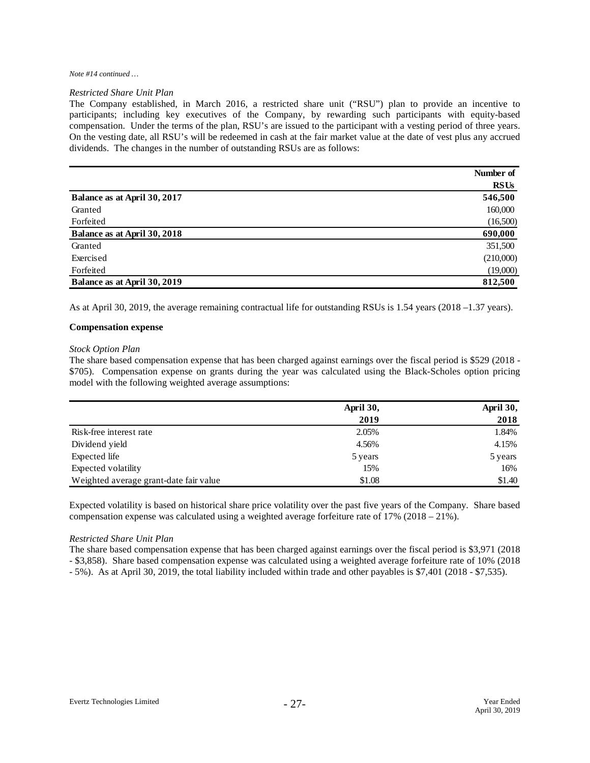# *Restricted Share Unit Plan*

The Company established, in March 2016, a restricted share unit ("RSU") plan to provide an incentive to participants; including key executives of the Company, by rewarding such participants with equity-based compensation. Under the terms of the plan, RSU's are issued to the participant with a vesting period of three years. On the vesting date, all RSU's will be redeemed in cash at the fair market value at the date of vest plus any accrued dividends. The changes in the number of outstanding RSUs are as follows:

|                              | Number of   |
|------------------------------|-------------|
|                              | <b>RSUs</b> |
| Balance as at April 30, 2017 | 546,500     |
| Granted                      | 160,000     |
| Forfeited                    | (16,500)    |
| Balance as at April 30, 2018 | 690,000     |
| Granted                      | 351,500     |
| Exercised                    | (210,000)   |
| Forfeited                    | (19,000)    |
| Balance as at April 30, 2019 | 812,500     |

As at April 30, 2019, the average remaining contractual life for outstanding RSUs is 1.54 years (2018 –1.37 years).

# **Compensation expense**

# *Stock Option Plan*

The share based compensation expense that has been charged against earnings over the fiscal period is \$529 (2018 - \$705). Compensation expense on grants during the year was calculated using the Black-Scholes option pricing model with the following weighted average assumptions:

|                                        | April 30, | April 30, |
|----------------------------------------|-----------|-----------|
|                                        | 2019      | 2018      |
| Risk-free interest rate                | 2.05%     | 1.84%     |
| Dividend yield                         | 4.56%     | 4.15%     |
| Expected life                          | 5 years   | 5 years   |
| Expected volatility                    | 15%       | 16%       |
| Weighted average grant-date fair value | \$1.08    | \$1.40    |

Expected volatility is based on historical share price volatility over the past five years of the Company. Share based compensation expense was calculated using a weighted average forfeiture rate of 17% (2018 – 21%).

# *Restricted Share Unit Plan*

The share based compensation expense that has been charged against earnings over the fiscal period is \$3,971 (2018 - \$3,858). Share based compensation expense was calculated using a weighted average forfeiture rate of 10% (2018

- 5%). As at April 30, 2019, the total liability included within trade and other payables is \$7,401 (2018 - \$7,535).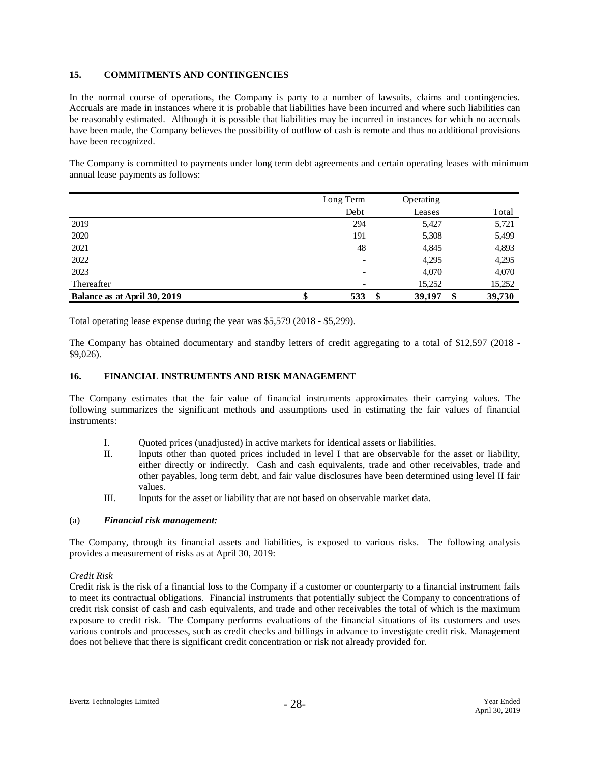# **15. COMMITMENTS AND CONTINGENCIES**

In the normal course of operations, the Company is party to a number of lawsuits, claims and contingencies. Accruals are made in instances where it is probable that liabilities have been incurred and where such liabilities can be reasonably estimated. Although it is possible that liabilities may be incurred in instances for which no accruals have been made, the Company believes the possibility of outflow of cash is remote and thus no additional provisions have been recognized.

The Company is committed to payments under long term debt agreements and certain operating leases with minimum annual lease payments as follows:

|                              |        | Long Term                | Operating    |              |
|------------------------------|--------|--------------------------|--------------|--------------|
|                              |        | Debt                     | Leases       | Total        |
| 2019                         |        | 294                      | 5,427        | 5,721        |
| 2020                         |        | 191                      | 5,308        | 5,499        |
| 2021                         |        | 48                       | 4,845        | 4,893        |
| 2022                         |        | $\overline{\phantom{a}}$ | 4,295        | 4,295        |
| 2023                         |        | $\overline{\phantom{a}}$ | 4,070        | 4,070        |
| Thereafter                   |        |                          | 15,252       | 15,252       |
| Balance as at April 30, 2019 | Φ<br>Φ | 533                      | \$<br>39,197 | \$<br>39,730 |

Total operating lease expense during the year was \$5,579 (2018 - \$5,299).

The Company has obtained documentary and standby letters of credit aggregating to a total of \$12,597 (2018 - \$9,026).

# **16. FINANCIAL INSTRUMENTS AND RISK MANAGEMENT**

The Company estimates that the fair value of financial instruments approximates their carrying values. The following summarizes the significant methods and assumptions used in estimating the fair values of financial instruments:

- I. Quoted prices (unadjusted) in active markets for identical assets or liabilities.
- II. Inputs other than quoted prices included in level I that are observable for the asset or liability, either directly or indirectly. Cash and cash equivalents, trade and other receivables, trade and other payables, long term debt, and fair value disclosures have been determined using level II fair values.
- III. Inputs for the asset or liability that are not based on observable market data.

# (a) *Financial risk management:*

The Company, through its financial assets and liabilities, is exposed to various risks. The following analysis provides a measurement of risks as at April 30, 2019:

# *Credit Risk*

Credit risk is the risk of a financial loss to the Company if a customer or counterparty to a financial instrument fails to meet its contractual obligations. Financial instruments that potentially subject the Company to concentrations of credit risk consist of cash and cash equivalents, and trade and other receivables the total of which is the maximum exposure to credit risk. The Company performs evaluations of the financial situations of its customers and uses various controls and processes, such as credit checks and billings in advance to investigate credit risk. Management does not believe that there is significant credit concentration or risk not already provided for.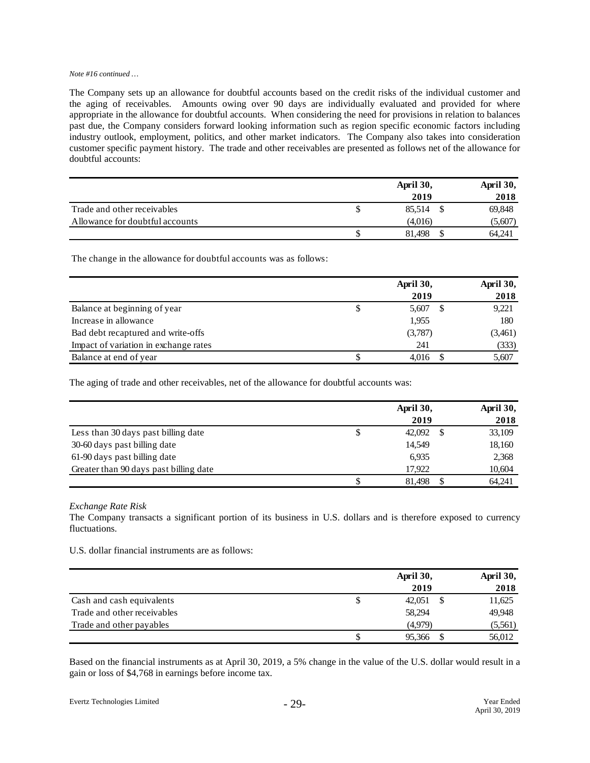The Company sets up an allowance for doubtful accounts based on the credit risks of the individual customer and the aging of receivables. Amounts owing over 90 days are individually evaluated and provided for where appropriate in the allowance for doubtful accounts. When considering the need for provisions in relation to balances past due, the Company considers forward looking information such as region specific economic factors including industry outlook, employment, politics, and other market indicators. The Company also takes into consideration customer specific payment history. The trade and other receivables are presented as follows net of the allowance for doubtful accounts:

|                                 | April 30, | April 30, |
|---------------------------------|-----------|-----------|
|                                 | 2019      | 2018      |
| Trade and other receivables     | 85.514    | 69,848    |
| Allowance for doubtful accounts | (4.016)   | (5,607)   |
|                                 | 81.498    | 64.241    |

The change in the allowance for doubtful accounts was as follows:

|                                       |   | April 30, | April 30, |         |
|---------------------------------------|---|-----------|-----------|---------|
|                                       |   | 2019      | 2018      |         |
| Balance at beginning of year          | S | 5,607     |           | 9,221   |
| Increase in allowance                 |   | 1,955     |           | 180     |
| Bad debt recaptured and write-offs    |   | (3,787)   |           | (3,461) |
| Impact of variation in exchange rates |   | 241       |           | (333)   |
| Balance at end of year                |   | 4,016     |           | 5,607   |

The aging of trade and other receivables, net of the allowance for doubtful accounts was:

|                                        | April 30,    |      | April 30, |
|----------------------------------------|--------------|------|-----------|
|                                        | 2019         | 2018 |           |
| Less than 30 days past billing date    | \$<br>42,092 |      | 33,109    |
| 30-60 days past billing date           | 14.549       |      | 18,160    |
| 61-90 days past billing date           | 6,935        |      | 2,368     |
| Greater than 90 days past billing date | 17.922       |      | 10,604    |
|                                        | \$<br>81.498 |      | 64.241    |

*Exchange Rate Risk*

The Company transacts a significant portion of its business in U.S. dollars and is therefore exposed to currency fluctuations.

U.S. dollar financial instruments are as follows:

|                             |   | April 30, | April 30, |  |
|-----------------------------|---|-----------|-----------|--|
|                             |   | 2019      |           |  |
| Cash and cash equivalents   | J | 42,051    | 11,625    |  |
| Trade and other receivables |   | 58,294    | 49,948    |  |
| Trade and other payables    |   | (4.979)   | (5,561)   |  |
|                             |   | 95,366    | 56,012    |  |

Based on the financial instruments as at April 30, 2019, a 5% change in the value of the U.S. dollar would result in a gain or loss of \$4,768 in earnings before income tax.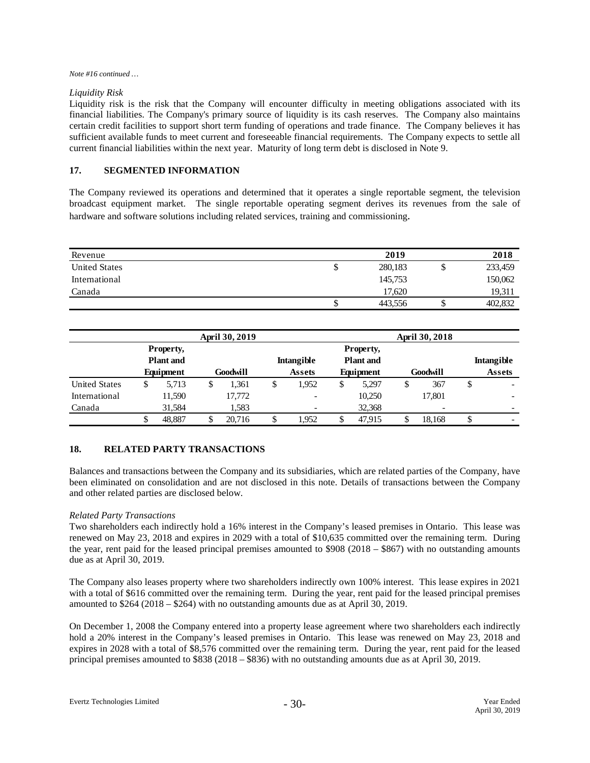# *Liquidity Risk*

Liquidity risk is the risk that the Company will encounter difficulty in meeting obligations associated with its financial liabilities. The Company's primary source of liquidity is its cash reserves. The Company also maintains certain credit facilities to support short term funding of operations and trade finance. The Company believes it has sufficient available funds to meet current and foreseeable financial requirements. The Company expects to settle all current financial liabilities within the next year. Maturity of long term debt is disclosed in Note 9.

# **17. SEGMENTED INFORMATION**

The Company reviewed its operations and determined that it operates a single reportable segment, the television broadcast equipment market. The single reportable operating segment derives its revenues from the sale of hardware and software solutions including related services, training and commissioning.

| Revenue              | 2019          |   | 2018    |
|----------------------|---------------|---|---------|
| <b>United States</b> | \$<br>280,183 |   | 233,459 |
| International        | 145,753       |   | 150,062 |
| Canada               | 17.620        |   | 19,311  |
|                      | \$<br>443,556 | ω | 402,832 |

|                      |                               | April 30, 2019 | <b>April 30, 2018</b> |                          |    |                               |           |    |                          |
|----------------------|-------------------------------|----------------|-----------------------|--------------------------|----|-------------------------------|-----------|----|--------------------------|
|                      | Property,<br><b>Plant</b> and |                |                       | <b>Intangible</b>        |    | Property,<br><b>Plant</b> and |           |    | <b>Intangible</b>        |
|                      | Equipment                     | Goodwill       |                       | <b>Assets</b>            |    | Equipment                     | Goodwill  |    | <b>Assets</b>            |
| <b>United States</b> | \$<br>5,713                   | 1.361          | \$                    | 1,952                    | \$ | 5.297                         | \$<br>367 | \$ | $\overline{\phantom{a}}$ |
| International        | 11.590                        | 17,772         |                       | $\overline{\phantom{a}}$ |    | 10,250                        | 17.801    |    | $\overline{\phantom{a}}$ |
| Canada               | 31.584                        | 1.583          |                       |                          |    | 32,368                        |           |    | $\overline{\phantom{0}}$ |
|                      | 48.887                        | 20.716         | \$                    | 1.952                    |    | 47.915                        | 18.168    | \$ | $\overline{\phantom{a}}$ |

# **18. RELATED PARTY TRANSACTIONS**

Balances and transactions between the Company and its subsidiaries, which are related parties of the Company, have been eliminated on consolidation and are not disclosed in this note. Details of transactions between the Company and other related parties are disclosed below.

# *Related Party Transactions*

Two shareholders each indirectly hold a 16% interest in the Company's leased premises in Ontario. This lease was renewed on May 23, 2018 and expires in 2029 with a total of \$10,635 committed over the remaining term. During the year, rent paid for the leased principal premises amounted to \$908 (2018 – \$867) with no outstanding amounts due as at April 30, 2019.

The Company also leases property where two shareholders indirectly own 100% interest. This lease expires in 2021 with a total of \$616 committed over the remaining term. During the year, rent paid for the leased principal premises amounted to \$264 (2018 – \$264) with no outstanding amounts due as at April 30, 2019.

On December 1, 2008 the Company entered into a property lease agreement where two shareholders each indirectly hold a 20% interest in the Company's leased premises in Ontario. This lease was renewed on May 23, 2018 and expires in 2028 with a total of \$8,576 committed over the remaining term. During the year, rent paid for the leased principal premises amounted to \$838 (2018 – \$836) with no outstanding amounts due as at April 30, 2019.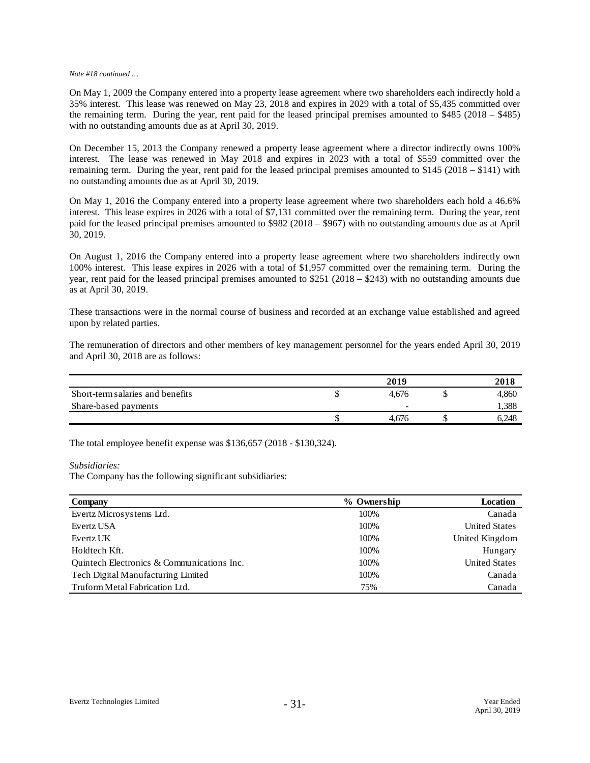On May 1, 2009 the Company entered into a property lease agreement where two shareholders each indirectly hold a 35% interest. This lease was renewed on May 23, 2018 and expires in 2029 with a total of \$5,435 committed over the remaining term. During the year, rent paid for the leased principal premises amounted to \$485 (2018 – \$485) with no outstanding amounts due as at April 30, 2019.

On December 15, 2013 the Company renewed a property lease agreement where a director indirectly owns 100% interest. The lease was renewed in May 2018 and expires in 2023 with a total of \$559 committed over the remaining term. During the year, rent paid for the leased principal premises amounted to \$145 (2018 – \$141) with no outstanding amounts due as at April 30, 2019.

On May 1, 2016 the Company entered into a property lease agreement where two shareholders each hold a 46.6% interest. This lease expires in 2026 with a total of \$7,131 committed over the remaining term. During the year, rent paid for the leased principal premises amounted to \$982 (2018 – \$967) with no outstanding amounts due as at April 30, 2019.

On August 1, 2016 the Company entered into a property lease agreement where two shareholders indirectly own 100% interest. This lease expires in 2026 with a total of \$1,957 committed over the remaining term. During the year, rent paid for the leased principal premises amounted to \$251 (2018 – \$243) with no outstanding amounts due as at April 30, 2019.

These transactions were in the normal course of business and recorded at an exchange value established and agreed upon by related parties.

The remuneration of directors and other members of key management personnel for the years ended April 30, 2019 and April 30, 2018 are as follows:

|                                  | 2019                     |       |
|----------------------------------|--------------------------|-------|
| Short-term salaries and benefits | 4.676                    | 4,860 |
| Share-based payments             | $\overline{\phantom{a}}$ | 1,388 |
|                                  | 4.676                    | 6,248 |

The total employee benefit expense was \$136,657 (2018 - \$130,324).

#### *Subsidiaries:*

The Company has the following significant subsidiaries:

| Company                                    | % Ownership | Location             |
|--------------------------------------------|-------------|----------------------|
| Evertz Microsystems Ltd.                   | 100%        | Canada               |
| Evertz USA                                 | 100%        | <b>United States</b> |
| Evertz UK                                  | 100%        | United Kingdom       |
| Holdtech Kft.                              | 100%        | Hungary              |
| Quintech Electronics & Communications Inc. | 100%        | <b>United States</b> |
| Tech Digital Manufacturing Limited         | 100%        | Canada               |
| Truform Metal Fabrication Ltd.             | 75%         | Canada               |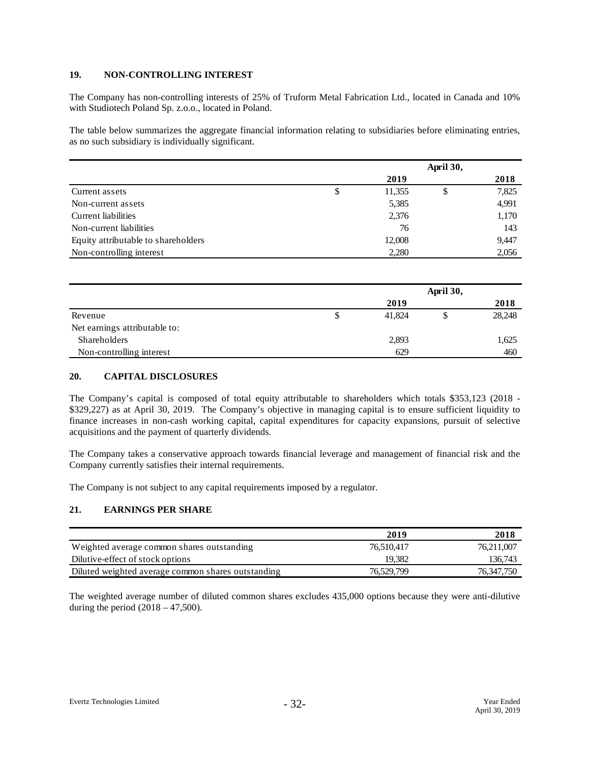# **19. NON-CONTROLLING INTEREST**

The Company has non-controlling interests of 25% of Truform Metal Fabrication Ltd., located in Canada and 10% with Studiotech Poland Sp. z.o.o., located in Poland.

The table below summarizes the aggregate financial information relating to subsidiaries before eliminating entries, as no such subsidiary is individually significant.

|                                     | April 30, |        |    |       |
|-------------------------------------|-----------|--------|----|-------|
|                                     |           | 2019   |    | 2018  |
| Current assets                      | \$        | 11,355 | \$ | 7,825 |
| Non-current assets                  |           | 5,385  |    | 4,991 |
| Current liabilities                 |           | 2,376  |    | 1,170 |
| Non-current liabilities             |           | 76     |    | 143   |
| Equity attributable to shareholders |           | 12,008 |    | 9,447 |
| Non-controlling interest            |           | 2,280  |    | 2,056 |

|                               | April 30, |        |  |        |
|-------------------------------|-----------|--------|--|--------|
|                               |           | 2019   |  | 2018   |
| Revenue                       | J)        | 41.824 |  | 28,248 |
| Net earnings attributable to: |           |        |  |        |
| Shareholders                  |           | 2,893  |  | 1,625  |
| Non-controlling interest      |           | 629    |  | 460    |

# **20. CAPITAL DISCLOSURES**

The Company's capital is composed of total equity attributable to shareholders which totals \$353,123 (2018 - \$329,227) as at April 30, 2019. The Company's objective in managing capital is to ensure sufficient liquidity to finance increases in non-cash working capital, capital expenditures for capacity expansions, pursuit of selective acquisitions and the payment of quarterly dividends.

The Company takes a conservative approach towards financial leverage and management of financial risk and the Company currently satisfies their internal requirements.

The Company is not subject to any capital requirements imposed by a regulator.

# **21. EARNINGS PER SHARE**

|                                                    | 2019       | 2018       |
|----------------------------------------------------|------------|------------|
| Weighted average common shares outstanding         | 76.510.417 | 76,211,007 |
| Dilutive-effect of stock options                   | 19.382     | 136,743    |
| Diluted weighted average common shares outstanding | 76.529.799 | 76.347.750 |

The weighted average number of diluted common shares excludes 435,000 options because they were anti-dilutive during the period  $(2018 - 47,500)$ .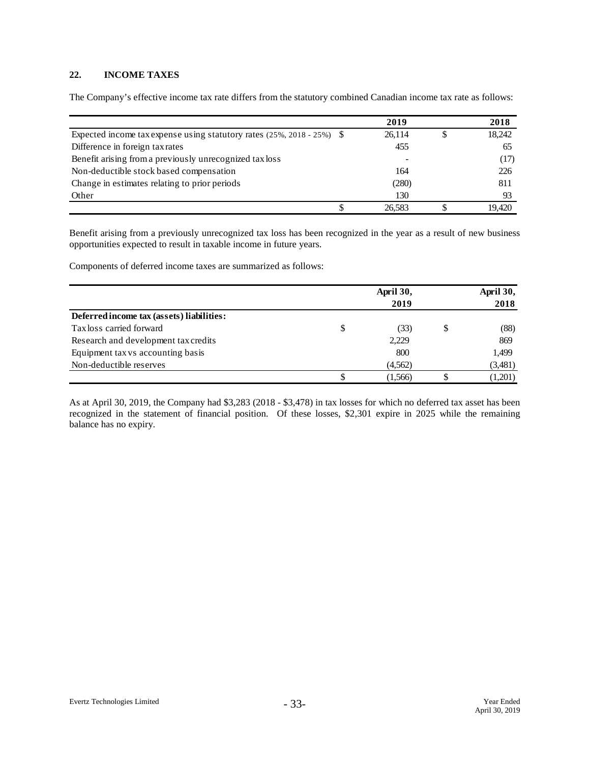# **22. INCOME TAXES**

The Company's effective income tax rate differs from the statutory combined Canadian income tax rate as follows:

|                                                                            | 2019   | 2018   |
|----------------------------------------------------------------------------|--------|--------|
| Expected income tax expense using statutory rates $(25\%, 2018 - 25\%)$ \$ | 26,114 | 18,242 |
| Difference in foreign tax rates                                            | 455    | 65     |
| Benefit arising from a previously unrecognized tax loss                    |        | (17)   |
| Non-deductible stock based compensation                                    | 164    | 226    |
| Change in estimates relating to prior periods                              | (280)  | 811    |
| Other                                                                      | 130    | 93     |
|                                                                            | 26.583 | 19.420 |

Benefit arising from a previously unrecognized tax loss has been recognized in the year as a result of new business opportunities expected to result in taxable income in future years.

Components of deferred income taxes are summarized as follows:

|                                           |      | April 30, |      | April 30, |
|-------------------------------------------|------|-----------|------|-----------|
|                                           | 2019 |           | 2018 |           |
| Deferred income tax (assets) liabilities: |      |           |      |           |
| Tax loss carried forward                  | \$   | (33)      | S    | (88)      |
| Research and development tax credits      |      | 2,229     |      | 869       |
| Equipment tax vs accounting basis         |      | 800       |      | 1,499     |
| Non-deductible reserves                   |      | (4,562)   |      | (3,481)   |
|                                           |      | (1,566)   |      | (1,201)   |

As at April 30, 2019, the Company had \$3,283 (2018 - \$3,478) in tax losses for which no deferred tax asset has been recognized in the statement of financial position. Of these losses, \$2,301 expire in 2025 while the remaining balance has no expiry.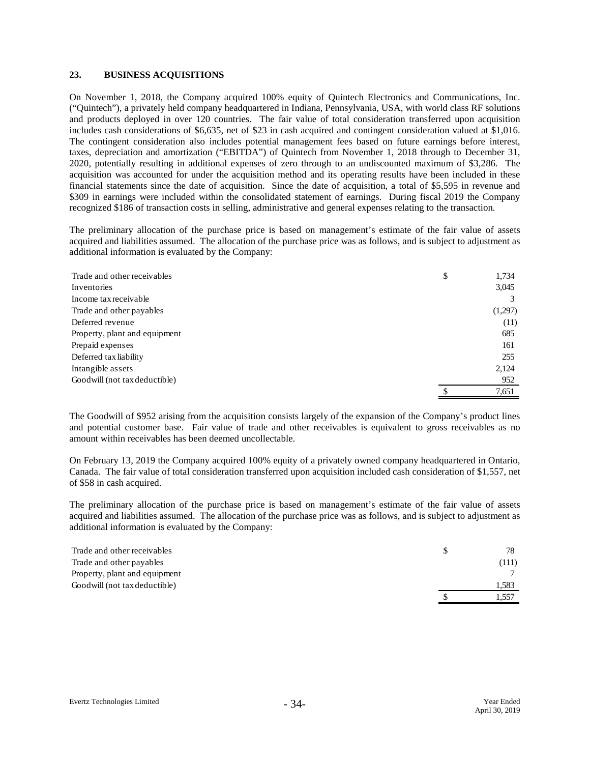# **23. BUSINESS ACQUISITIONS**

On November 1, 2018, the Company acquired 100% equity of Quintech Electronics and Communications, Inc. ("Quintech"), a privately held company headquartered in Indiana, Pennsylvania, USA, with world class RF solutions and products deployed in over 120 countries. The fair value of total consideration transferred upon acquisition includes cash considerations of \$6,635, net of \$23 in cash acquired and contingent consideration valued at \$1,016. The contingent consideration also includes potential management fees based on future earnings before interest, taxes, depreciation and amortization ("EBITDA") of Quintech from November 1, 2018 through to December 31, 2020, potentially resulting in additional expenses of zero through to an undiscounted maximum of \$3,286. The acquisition was accounted for under the acquisition method and its operating results have been included in these financial statements since the date of acquisition. Since the date of acquisition, a total of \$5,595 in revenue and \$309 in earnings were included within the consolidated statement of earnings. During fiscal 2019 the Company recognized \$186 of transaction costs in selling, administrative and general expenses relating to the transaction.

The preliminary allocation of the purchase price is based on management's estimate of the fair value of assets acquired and liabilities assumed. The allocation of the purchase price was as follows, and is subject to adjustment as additional information is evaluated by the Company:

| Trade and other receivables   | \$<br>1,734 |
|-------------------------------|-------------|
| Inventories                   | 3,045       |
| Income tax receivable         |             |
| Trade and other payables      | (1,297)     |
| Deferred revenue              | (11)        |
| Property, plant and equipment | 685         |
| Prepaid expenses              | 161         |
| Deferred tax liability        | 255         |
| Intangible assets             | 2,124       |
| Goodwill (not tax deductible) | 952         |
|                               | \$<br>7,651 |

The Goodwill of \$952 arising from the acquisition consists largely of the expansion of the Company's product lines and potential customer base. Fair value of trade and other receivables is equivalent to gross receivables as no amount within receivables has been deemed uncollectable.

On February 13, 2019 the Company acquired 100% equity of a privately owned company headquartered in Ontario, Canada. The fair value of total consideration transferred upon acquisition included cash consideration of \$1,557, net of \$58 in cash acquired.

The preliminary allocation of the purchase price is based on management's estimate of the fair value of assets acquired and liabilities assumed. The allocation of the purchase price was as follows, and is subject to adjustment as additional information is evaluated by the Company:

| Trade and other receivables   | 78    |
|-------------------------------|-------|
| Trade and other payables      | (111) |
| Property, plant and equipment |       |
| Goodwill (not tax deductible) | 1.583 |
|                               | 1.557 |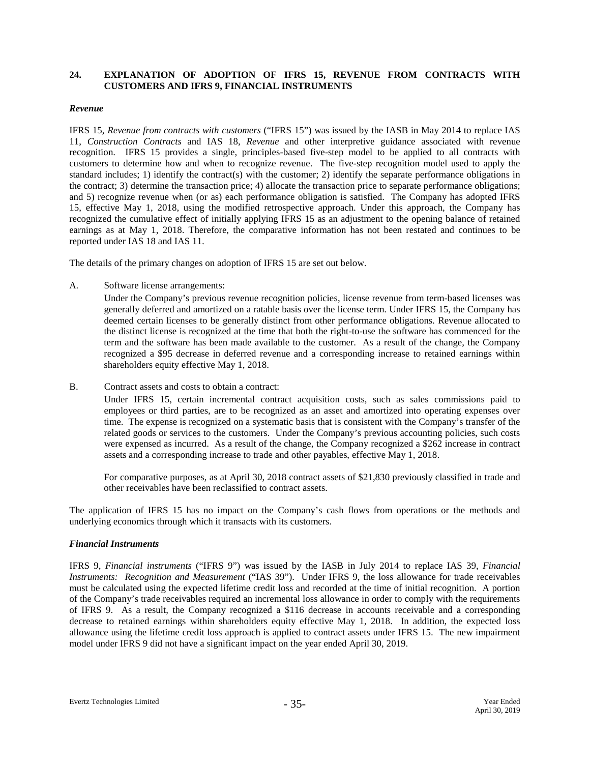# **24. EXPLANATION OF ADOPTION OF IFRS 15, REVENUE FROM CONTRACTS WITH CUSTOMERS AND IFRS 9, FINANCIAL INSTRUMENTS**

# *Revenue*

IFRS 15, *Revenue from contracts with customers* ("IFRS 15") was issued by the IASB in May 2014 to replace IAS 11, *Construction Contracts* and IAS 18, *Revenue* and other interpretive guidance associated with revenue recognition. IFRS 15 provides a single, principles-based five-step model to be applied to all contracts with customers to determine how and when to recognize revenue. The five-step recognition model used to apply the standard includes; 1) identify the contract(s) with the customer; 2) identify the separate performance obligations in the contract; 3) determine the transaction price; 4) allocate the transaction price to separate performance obligations; and 5) recognize revenue when (or as) each performance obligation is satisfied. The Company has adopted IFRS 15, effective May 1, 2018, using the modified retrospective approach. Under this approach, the Company has recognized the cumulative effect of initially applying IFRS 15 as an adjustment to the opening balance of retained earnings as at May 1, 2018. Therefore, the comparative information has not been restated and continues to be reported under IAS 18 and IAS 11.

The details of the primary changes on adoption of IFRS 15 are set out below.

A. Software license arrangements:

Under the Company's previous revenue recognition policies, license revenue from term-based licenses was generally deferred and amortized on a ratable basis over the license term. Under IFRS 15, the Company has deemed certain licenses to be generally distinct from other performance obligations. Revenue allocated to the distinct license is recognized at the time that both the right-to-use the software has commenced for the term and the software has been made available to the customer. As a result of the change, the Company recognized a \$95 decrease in deferred revenue and a corresponding increase to retained earnings within shareholders equity effective May 1, 2018.

B. Contract assets and costs to obtain a contract:

Under IFRS 15, certain incremental contract acquisition costs, such as sales commissions paid to employees or third parties, are to be recognized as an asset and amortized into operating expenses over time. The expense is recognized on a systematic basis that is consistent with the Company's transfer of the related goods or services to the customers. Under the Company's previous accounting policies, such costs were expensed as incurred. As a result of the change, the Company recognized a \$262 increase in contract assets and a corresponding increase to trade and other payables, effective May 1, 2018.

For comparative purposes, as at April 30, 2018 contract assets of \$21,830 previously classified in trade and other receivables have been reclassified to contract assets.

The application of IFRS 15 has no impact on the Company's cash flows from operations or the methods and underlying economics through which it transacts with its customers.

# *Financial Instruments*

IFRS 9, *Financial instruments* ("IFRS 9") was issued by the IASB in July 2014 to replace IAS 39, *Financial Instruments: Recognition and Measurement* ("IAS 39"). Under IFRS 9, the loss allowance for trade receivables must be calculated using the expected lifetime credit loss and recorded at the time of initial recognition. A portion of the Company's trade receivables required an incremental loss allowance in order to comply with the requirements of IFRS 9. As a result, the Company recognized a \$116 decrease in accounts receivable and a corresponding decrease to retained earnings within shareholders equity effective May 1, 2018. In addition, the expected loss allowance using the lifetime credit loss approach is applied to contract assets under IFRS 15. The new impairment model under IFRS 9 did not have a significant impact on the year ended April 30, 2019.